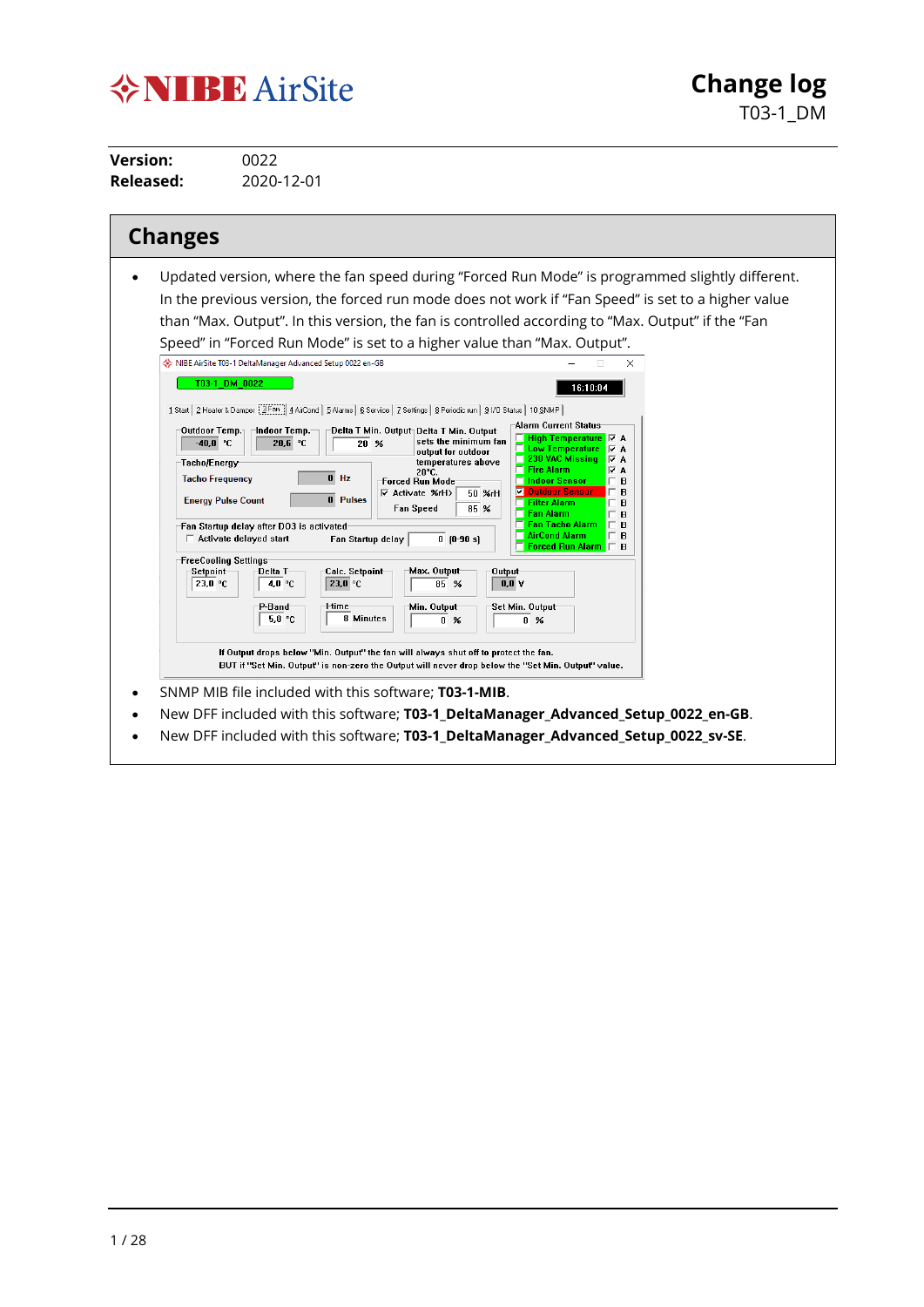# **VNIBE** AirSite

**Change log** T03-1\_DM

**Version:** 0022<br>**Released:** 2020-**Released:** 2020-12-01

| <b>Changes</b>                                                                                                                                                                                                                                                                                                                                                                                                                                                                                                                                                                                                                                                                                                                                                                                                                                                                                                                                                                                                                                                                                                                                                                                                                                                                                                                                                                                                                                                                                                                                                                                                                                                                                                                                                                                                                                           |
|----------------------------------------------------------------------------------------------------------------------------------------------------------------------------------------------------------------------------------------------------------------------------------------------------------------------------------------------------------------------------------------------------------------------------------------------------------------------------------------------------------------------------------------------------------------------------------------------------------------------------------------------------------------------------------------------------------------------------------------------------------------------------------------------------------------------------------------------------------------------------------------------------------------------------------------------------------------------------------------------------------------------------------------------------------------------------------------------------------------------------------------------------------------------------------------------------------------------------------------------------------------------------------------------------------------------------------------------------------------------------------------------------------------------------------------------------------------------------------------------------------------------------------------------------------------------------------------------------------------------------------------------------------------------------------------------------------------------------------------------------------------------------------------------------------------------------------------------------------|
| Updated version, where the fan speed during "Forced Run Mode" is programmed slightly different.<br>In the previous version, the forced run mode does not work if "Fan Speed" is set to a higher value<br>than "Max. Output". In this version, the fan is controlled according to "Max. Output" if the "Fan<br>Speed" in "Forced Run Mode" is set to a higher value than "Max. Output".<br>NIBE AirSite T03-1 DeltaManager Advanced Setup 0022 en-GB<br>$\times$<br>T03-1 DM 0022<br>16:10:04<br>1 Start   2 Heater & Damper   3 Fan   4 AirCond   5 Alarms   6 Service   7 Settings   8 Periodic run   91/0 Status   10 SNMP  <br>Alarm Current Status<br>⊣ndoor Temp.<br>Outdoor Temp.<br>Delta T Min. Output Delta T Min. Output<br>sets the minimum fan<br>$-40,0 °C$<br>20.6 °C<br>$20 \t%$<br><b>E</b> Low Temperature<br>$\nabla$ A<br>output for outdoor<br>$\Box$ 230 VAC Missing<br>$\nabla$ A<br>temperatures above<br>Tacho/Energy<br>$\Box$ Fire Alarm<br>⊽Α<br>20°C.<br>$0$ Hz<br><b>Tacho Frequency</b><br><b>Forced Run Mode</b><br>□ Indoor Sensor<br>В<br>г<br><b>V</b> Outdoor Sensor<br>в<br>$\nabla$ Activate %rH><br>г<br>50 %rH<br>0 Pulses<br><b>Energy Pulse Count</b><br>Filter Alarm<br>В<br>Fan Speed<br>85 %<br>$\Box$ Fan Alarm<br>B<br>г<br><b>Fan Tacho Alarm</b><br>B<br>Fan Startup delay after DO3 is activated<br><b>AirCond Alarm</b><br>$\mathbf B$<br>г<br>$\Box$ Activate delayed start<br>Fan Startup delay<br>$0$ $[0-90 s]$<br>Forced Run Alarm $\Box$ B<br><b>FreeCooling Settings</b><br>Max. Output<br>Delta T<br>Calc. Setpoint<br>Setpoint<br>Output<br>23,0 °C<br>23,0 °C<br>$0.0$ V<br>4.0 °C<br>85 %<br>-l-time<br>P-Band<br>Min. Output<br>Set Min. Output<br>8 Minutes<br>5.0 °C<br>$0 \times$<br>$0 \times$<br>If Output drops below "Min. Output" the fan will always shut off to protect the fan. |
| BUT if "Set Min. Output" is non-zero the Output will never drop below the "Set Min. Output" value.<br>SNMP MIB file included with this software; <b>T03-1-MIB</b> .                                                                                                                                                                                                                                                                                                                                                                                                                                                                                                                                                                                                                                                                                                                                                                                                                                                                                                                                                                                                                                                                                                                                                                                                                                                                                                                                                                                                                                                                                                                                                                                                                                                                                      |
| New DFF included with this software; T03-1_DeltaManager_Advanced_Setup_0022_en-GB.<br>New DFF included with this software; T03-1 DeltaManager Advanced Setup 0022 sv-SE.                                                                                                                                                                                                                                                                                                                                                                                                                                                                                                                                                                                                                                                                                                                                                                                                                                                                                                                                                                                                                                                                                                                                                                                                                                                                                                                                                                                                                                                                                                                                                                                                                                                                                 |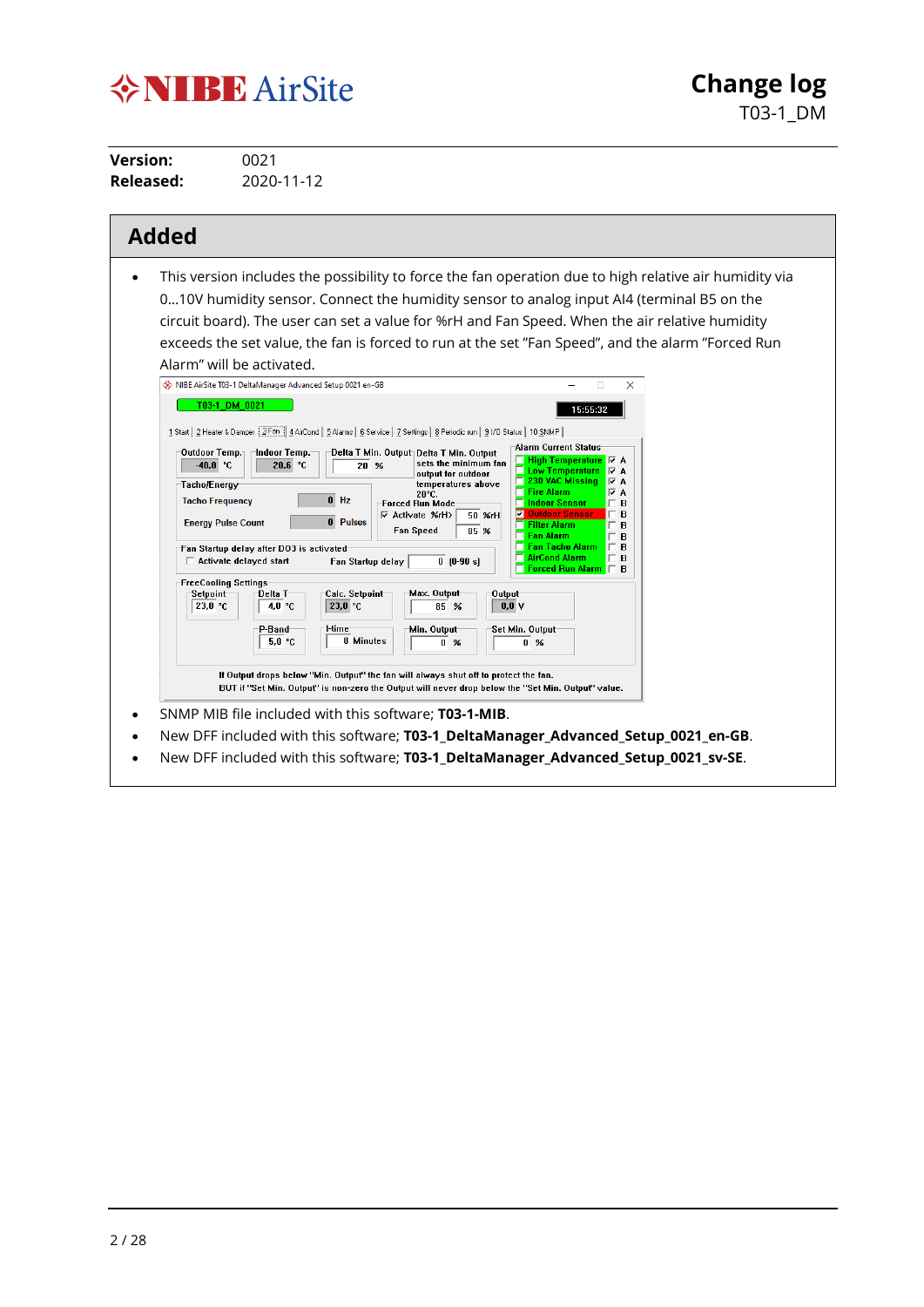# **VNIBE** AirSite

**Version:** 0021<br>**Released:** 2020-**Released:** 2020-11-12

| This version includes the possibility to force the fan operation due to high relative air humidity via<br>010V humidity sensor. Connect the humidity sensor to analog input AI4 (terminal B5 on the<br>circuit board). The user can set a value for %rH and Fan Speed. When the air relative humidity<br>exceeds the set value, the fan is forced to run at the set "Fan Speed", and the alarm "Forced Run<br>Alarm" will be activated.<br>NIBE AirSite T03-1 DeltaManager Advanced Setup 0021 en-GB<br>$\Box$<br>$\times$<br>T03-1 DM 0021<br>15:55:32<br>1 Start   2 Heater & Damper   3 Fan   4 AirCond   5 Alarms   6 Service   7 Settings   8 Periodic run   91/0 Status   10 SNMP<br>Alarm Current Status<br>Outdoor Temp.<br>Indoor Temp.<br>Delta T Min. Output Delta T Min. Output<br>□ High Temperature 区 A<br>sets the minimum fan<br>$-40,0$ °C<br>20,6 °C<br>$20 \t%$<br><b>Low Temperature</b><br>$\nabla$ A<br>output for outdoor<br>230 VAC Missing<br>$\nabla$ A<br>Tacho/Energy<br>temperatures above<br><b>Fire Alarm</b><br>l A<br>20°C.<br>$0$ Hz<br><b>Tacho Frequency</b><br><b>Indoor Sensor</b><br>Forced Run Mode<br>в<br>न<br><b>Outdoor Sensor</b><br>в<br><b>▽ Activate %rH&gt;</b><br>50 %rH<br>0 Pulses<br><b>Energy Pulse Count</b><br><b>Filter Alarm</b><br>в<br>85 %<br>Fan Speed<br><b>Fan Alarm</b><br>B<br><b>Fan Tacho Alarm</b><br>г<br>B<br>Fan Startup delay after DO3 is activated<br><b>AirCond Alarm</b><br>B<br>$\Box$ Activate delayed start<br>$0$ [0-90 s]<br>Fan Startup delay<br>Forced Run Alarm  <br>B.<br>FreeCooling Settings <sup>.</sup><br>Max. Output<br>Calc. Setpoint<br>Output<br>Setpoint<br>Delta T<br>23,0 °C<br>23.0 °C<br>4.0 °C<br>0.0V<br>85 %<br>Min. Output-<br>P-Band <sup>.</sup><br>l-time<br>Set Min. Output-<br>8 Minutes<br>5,0 °C<br>$0 \n\%$<br>$0 \times$<br>If Output drops below "Min. Output" the fan will always shut off to protect the fan.<br>BUT if "Set Min. Output" is non-zero the Output will never drop below the "Set Min. Output" value. |
|-----------------------------------------------------------------------------------------------------------------------------------------------------------------------------------------------------------------------------------------------------------------------------------------------------------------------------------------------------------------------------------------------------------------------------------------------------------------------------------------------------------------------------------------------------------------------------------------------------------------------------------------------------------------------------------------------------------------------------------------------------------------------------------------------------------------------------------------------------------------------------------------------------------------------------------------------------------------------------------------------------------------------------------------------------------------------------------------------------------------------------------------------------------------------------------------------------------------------------------------------------------------------------------------------------------------------------------------------------------------------------------------------------------------------------------------------------------------------------------------------------------------------------------------------------------------------------------------------------------------------------------------------------------------------------------------------------------------------------------------------------------------------------------------------------------------------------------------------------------------------------------------------------------------------------------------------------------------------------------------------------------------------------------------|
| SNMP MIB file included with this software; T03-1-MIB.                                                                                                                                                                                                                                                                                                                                                                                                                                                                                                                                                                                                                                                                                                                                                                                                                                                                                                                                                                                                                                                                                                                                                                                                                                                                                                                                                                                                                                                                                                                                                                                                                                                                                                                                                                                                                                                                                                                                                                                   |

**Change log**

T03-1\_DM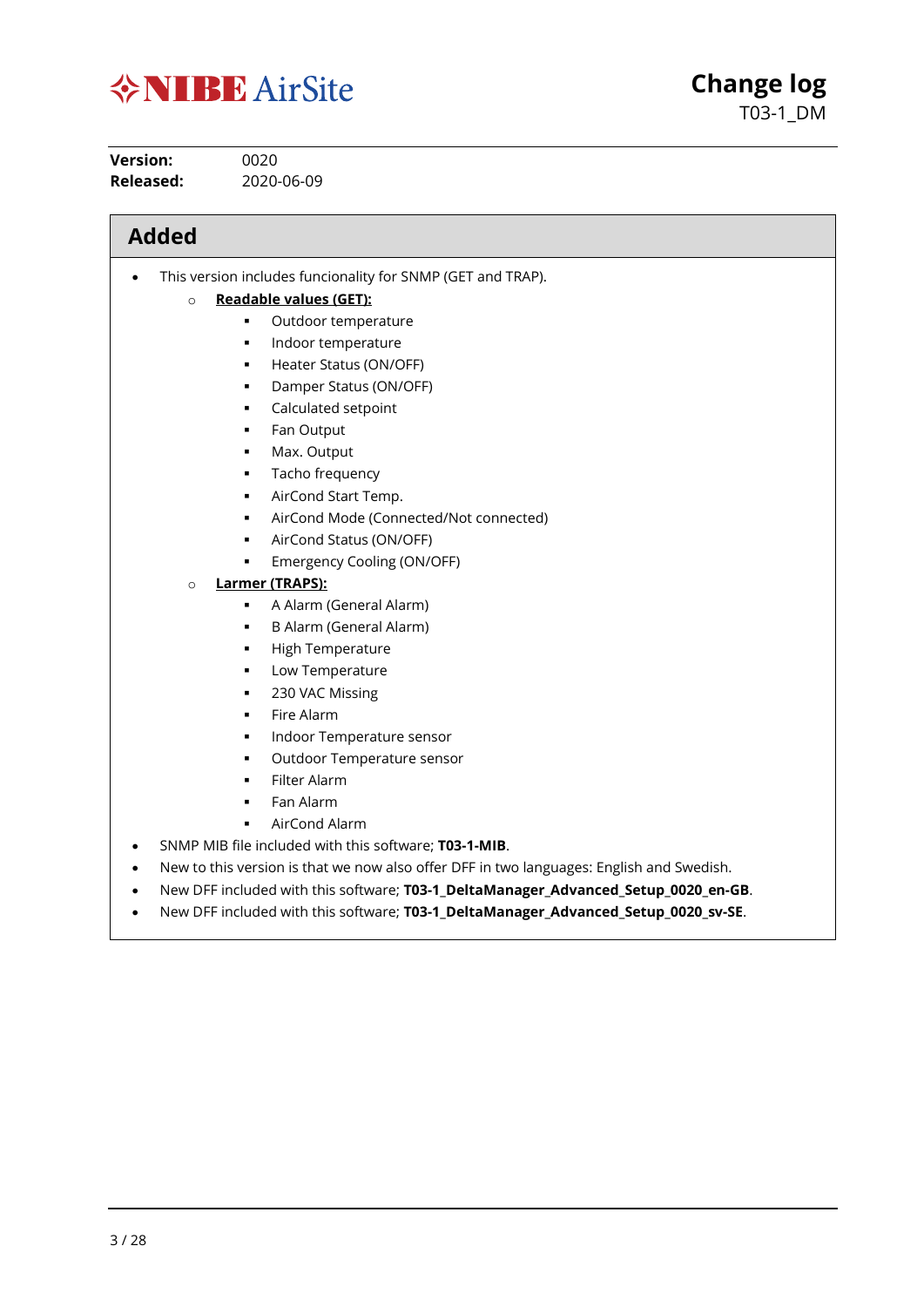

**Version:** 0020 **Released:** 2020-06-09

## **Added**

• This version includes funcionality for SNMP (GET and TRAP).

#### o **Readable values (GET):**

- **•** Outdoor temperature
- **Indoor temperature**
- **Heater Status (ON/OFF)**
- **Damper Status (ON/OFF)**
- Calculated setpoint
- **Fan Output**
- Max. Output
- **Tacho frequency**
- AirCond Start Temp.
- AirCond Mode (Connected/Not connected)

**Change log**

T03-1\_DM

- AirCond Status (ON/OFF)
- **Emergency Cooling (ON/OFF)**

#### o **Larmer (TRAPS):**

- A Alarm (General Alarm)
- B Alarm (General Alarm)
- High Temperature
- Low Temperature
- 230 VAC Missing
- Fire Alarm
- Indoor Temperature sensor
- Outdoor Temperature sensor
- Filter Alarm
- Fan Alarm
- AirCond Alarm
- SNMP MIB file included with this software; **T03-1-MIB**.
- New to this version is that we now also offer DFF in two languages: English and Swedish.
- New DFF included with this software; **T03-1\_DeltaManager\_Advanced\_Setup\_0020\_en-GB**.
- New DFF included with this software; **T03-1\_DeltaManager\_Advanced\_Setup\_0020\_sv-SE**.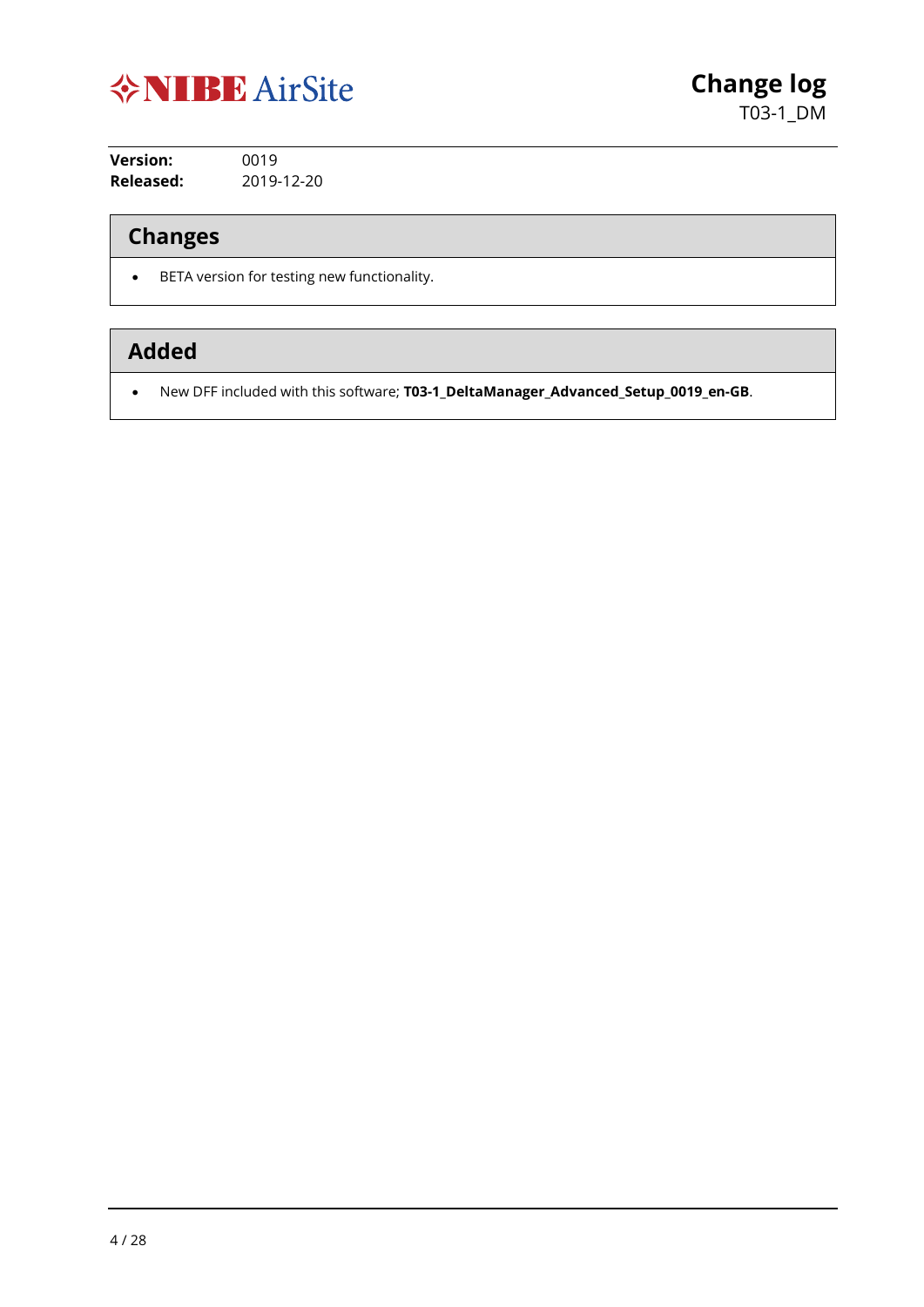

**Version:** 0019 **Released:** 2019-12-20

## **Changes**

• BETA version for testing new functionality.

## **Added**

• New DFF included with this software; **T03-1\_DeltaManager\_Advanced\_Setup\_0019\_en-GB**.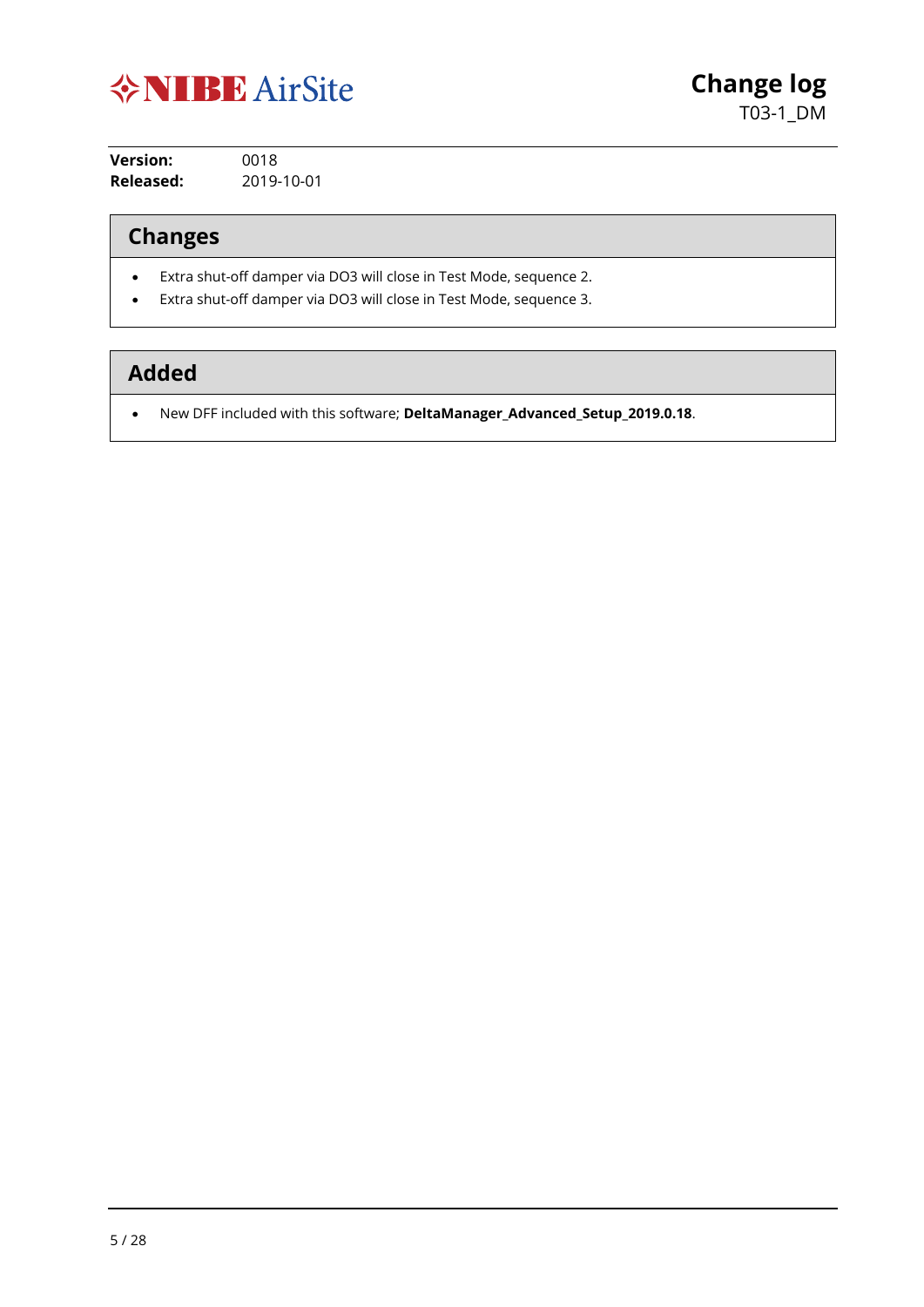

**Version:** 0018 **Released:** 2019-10-01

#### **Changes**

- Extra shut-off damper via DO3 will close in Test Mode, sequence 2.
- Extra shut-off damper via DO3 will close in Test Mode, sequence 3.

## **Added**

• New DFF included with this software; **DeltaManager\_Advanced\_Setup\_2019.0.18**.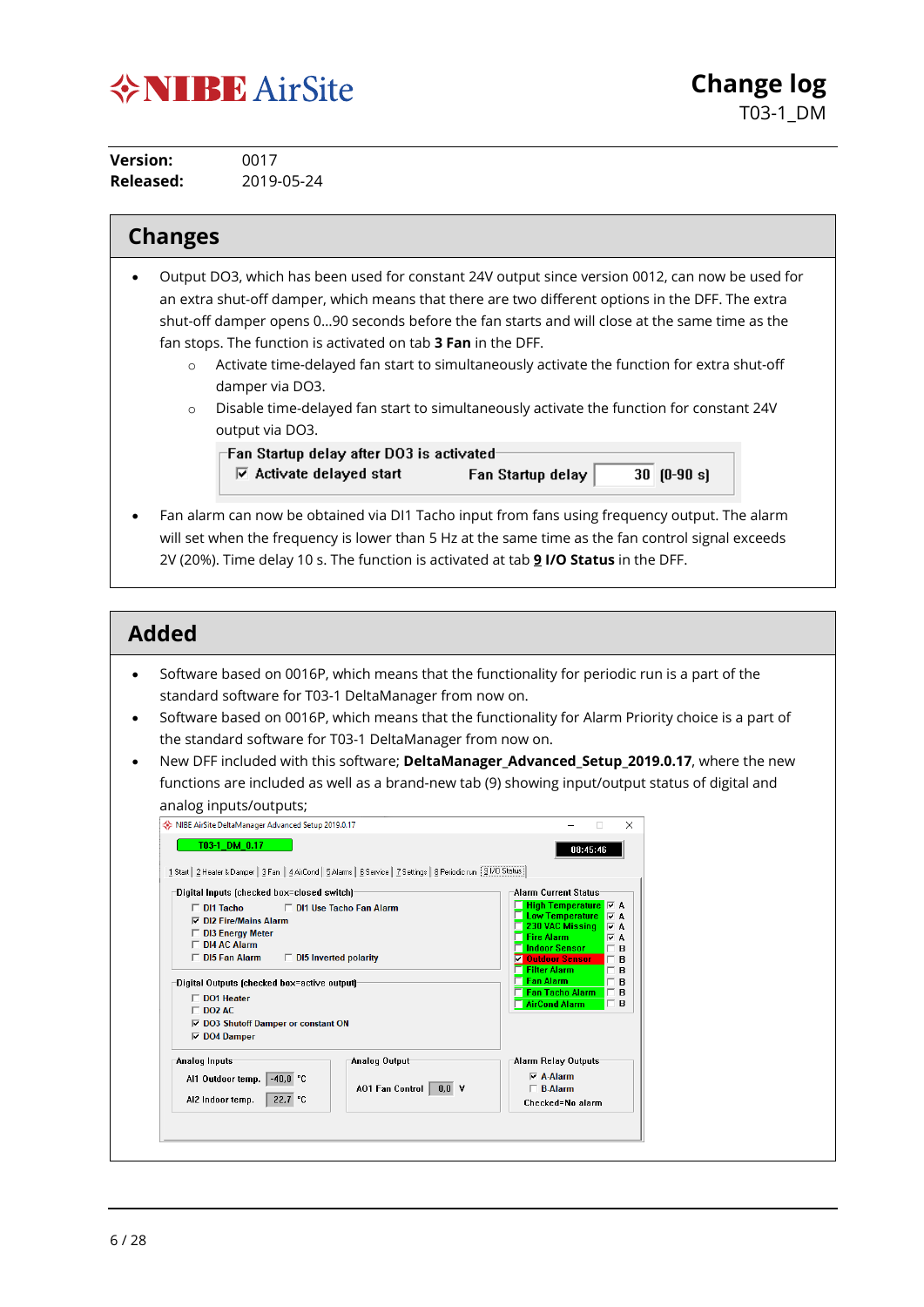

**Version:** 0017 **Released:** 2019-05-24

#### **Changes**

- Output DO3, which has been used for constant 24V output since version 0012, can now be used for an extra shut-off damper, which means that there are two different options in the DFF. The extra shut-off damper opens 0…90 seconds before the fan starts and will close at the same time as the fan stops. The function is activated on tab **3 Fan** in the DFF.
	- o Activate time-delayed fan start to simultaneously activate the function for extra shut-off damper via DO3.
	- o Disable time-delayed fan start to simultaneously activate the function for constant 24V output via DO3.

Fan Startup delay after DO3 is activated- $\overline{v}$  Activate delayed start  $30$   $[0-90 s]$ Fan Startup delay

• Fan alarm can now be obtained via DI1 Tacho input from fans using frequency output. The alarm will set when the frequency is lower than 5 Hz at the same time as the fan control signal exceeds 2V (20%). Time delay 10 s. The function is activated at tab **9 I/O Status** in the DFF.

- Software based on 0016P, which means that the functionality for periodic run is a part of the standard software for T03-1 DeltaManager from now on.
- Software based on 0016P, which means that the functionality for Alarm Priority choice is a part of the standard software for T03-1 DeltaManager from now on.
- New DFF included with this software; **DeltaManager\_Advanced\_Setup\_2019.0.17**, where the new functions are included as well as a brand-new tab (9) showing input/output status of digital and analog inputs/outputs;

| 1 Start   2 Heater & Damper   3 Fan   4 AirCond   5 Alarms   6 Service   7 Settings   8 Periodic run   9 I/O Status                                                                                                                                                                                                                                                         |                                                                                                                                                                                                                                                                                                                                      |
|-----------------------------------------------------------------------------------------------------------------------------------------------------------------------------------------------------------------------------------------------------------------------------------------------------------------------------------------------------------------------------|--------------------------------------------------------------------------------------------------------------------------------------------------------------------------------------------------------------------------------------------------------------------------------------------------------------------------------------|
| Digital Inputs (checked box=closed switch)                                                                                                                                                                                                                                                                                                                                  | Alarm Current Status                                                                                                                                                                                                                                                                                                                 |
| □ DI1 Use Tacho Fan Alarm<br>$\Box$ DI1 Tacho<br>$\nabla$ DI2 Fire/Mains Alarm<br>$\Box$ DI3 Energy Meter<br>$\Box$ DI4 AC Alarm<br>$\Box$ DI5 Fan Alarm<br>$\Box$ DI5 Inverted polarity<br>Digital Outputs (checked box=active output)<br>$\Box$ DO1 Heater<br>$\Box$ DO2 AC.<br><b><math>\overline{V}</math></b> DO3 Shutoff Damper or constant ON<br>$\nabla$ DO4 Damper | <b>Low Temperature V</b> A<br>$\Box$ 230 VAC Missing<br>$\nabla$ A<br><b>Fire Alarm</b><br>$\nabla$ A<br><b>Indoor Sensor</b><br>B<br><b>Outdoor Sensor</b><br>罓<br>$\Box$ B<br><b>Filter Alarm</b><br>$\overline{B}$<br>П.<br><b>Fan Alarm</b><br>$\overline{B}$<br><b>Fan Tacho Alarm</b><br>$\Box$ B<br>AirCond Alarm<br>$\Box$ B |
| Analog Inputs<br>Analog Output<br>$-40.0 °C$<br>Al1 Outdoor temp.  <br>AO1 Fan Control<br>0.0 V<br>22,7 °C<br>AI2 Indoor temp.                                                                                                                                                                                                                                              | Alarm Relay Outputs<br>$\nabla$ A-Alarm<br>$\Box$ B-Alarm<br>Checked=No alarm                                                                                                                                                                                                                                                        |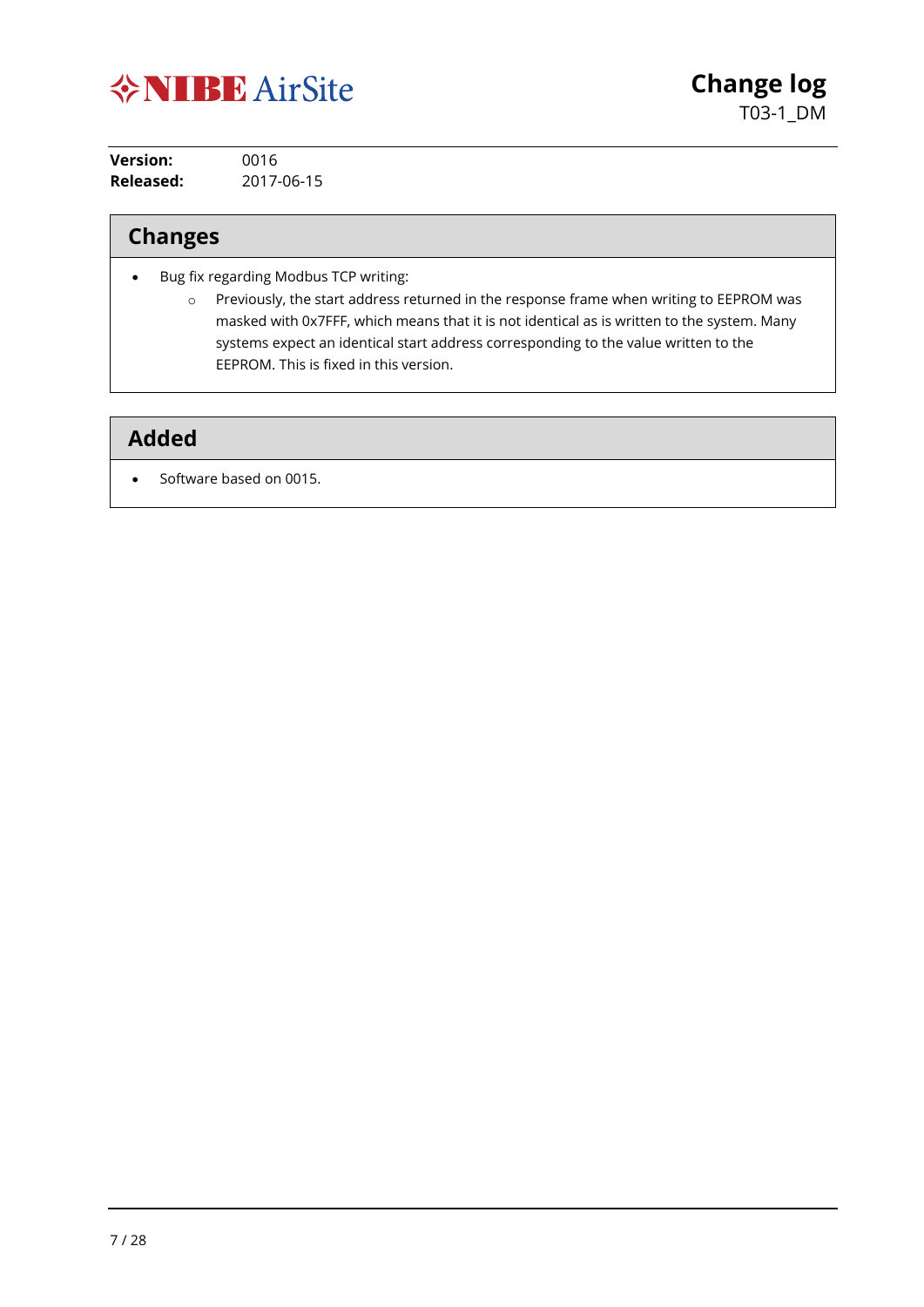

| <b>Version:</b> | 0016       |
|-----------------|------------|
| Released:       | 2017-06-15 |

## **Changes**

- Bug fix regarding Modbus TCP writing:
	- o Previously, the start address returned in the response frame when writing to EEPROM was masked with 0x7FFF, which means that it is not identical as is written to the system. Many systems expect an identical start address corresponding to the value written to the EEPROM. This is fixed in this version.

#### **Added**

• Software based on 0015.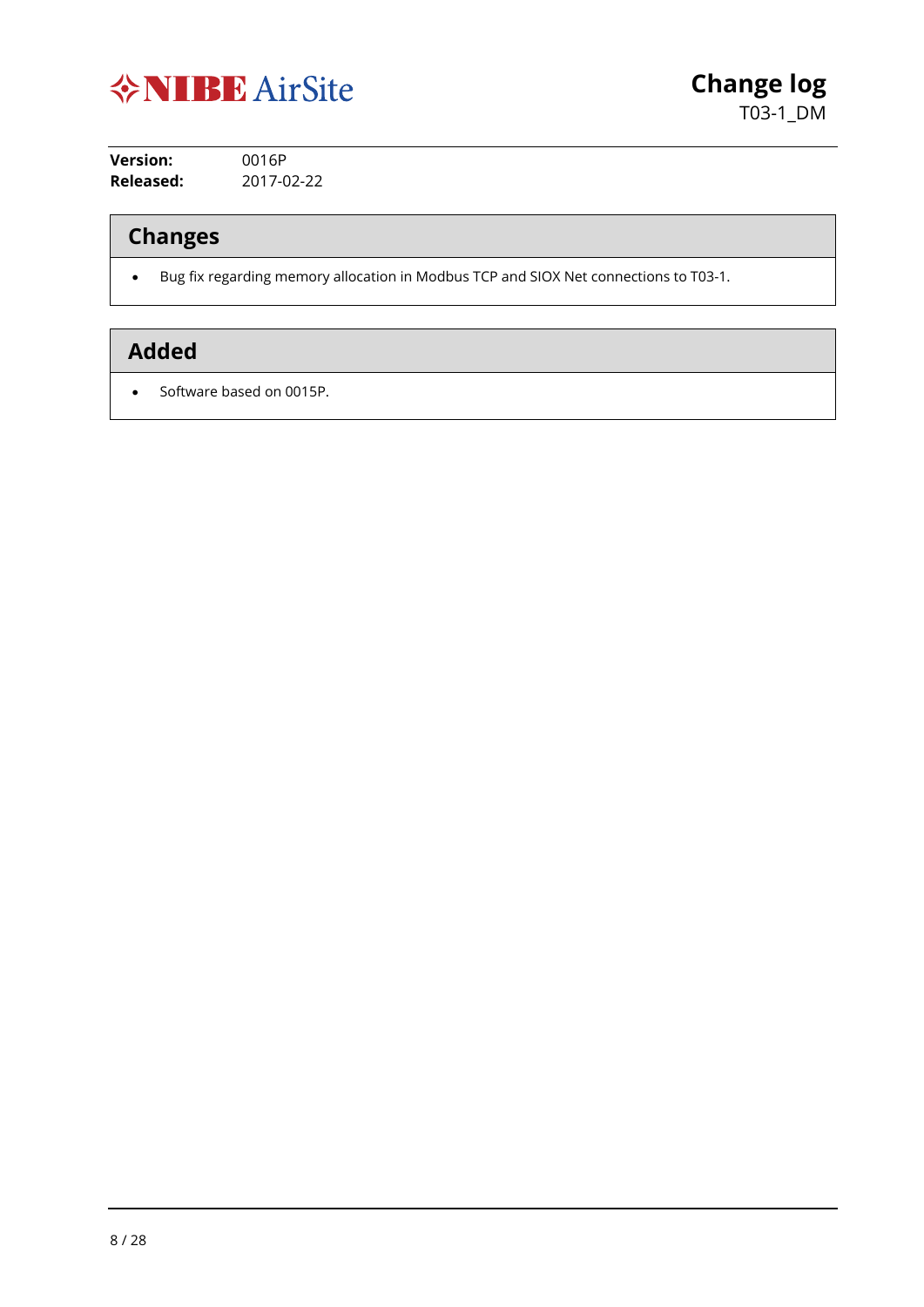

**Version:** 0016P **Released:** 2017-02-22

## **Changes**

• Bug fix regarding memory allocation in Modbus TCP and SIOX Net connections to T03-1.

## **Added**

• Software based on 0015P.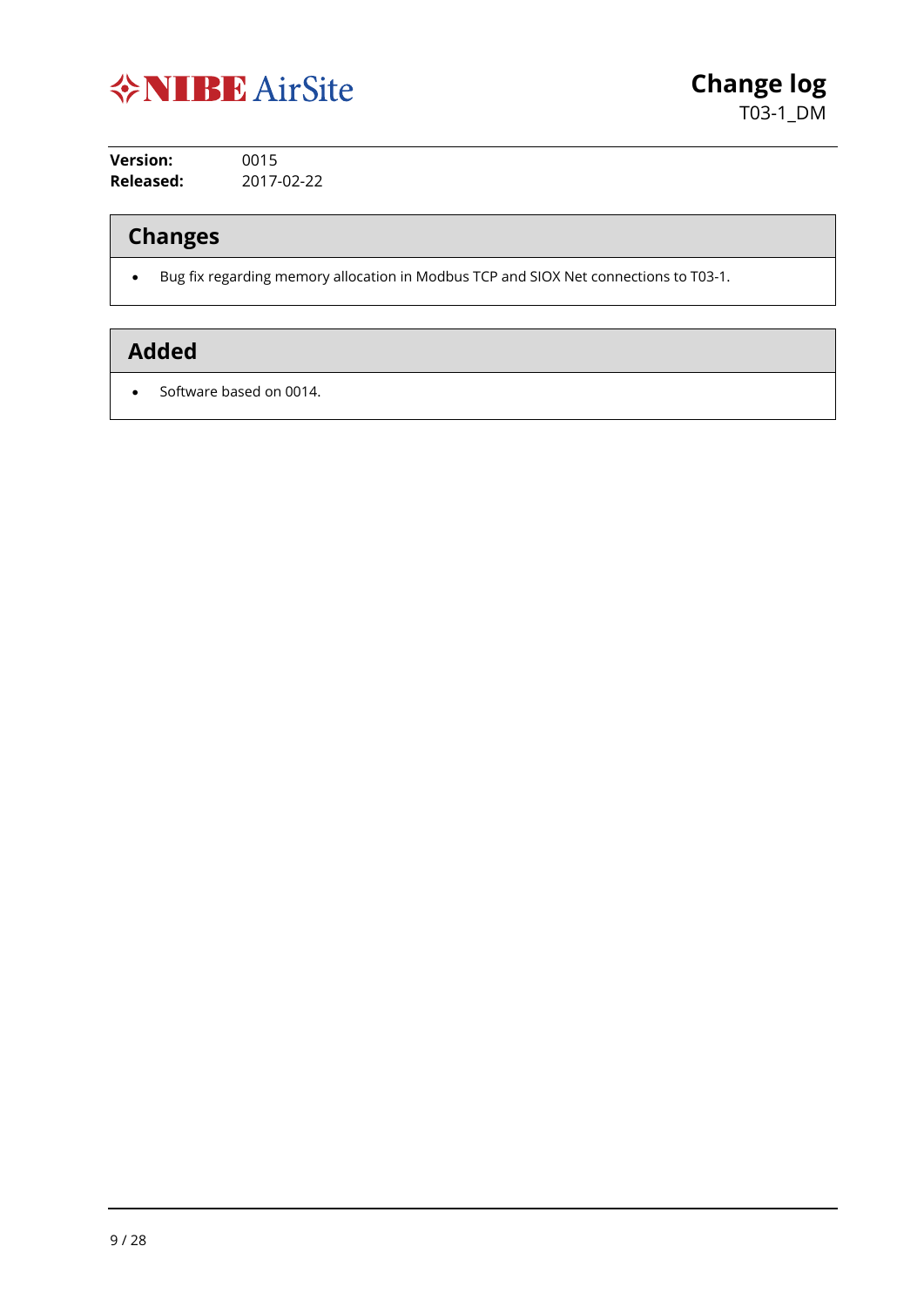

**Version:** 0015 **Released:** 2017-02-22

## **Changes**

• Bug fix regarding memory allocation in Modbus TCP and SIOX Net connections to T03-1.

## **Added**

• Software based on 0014.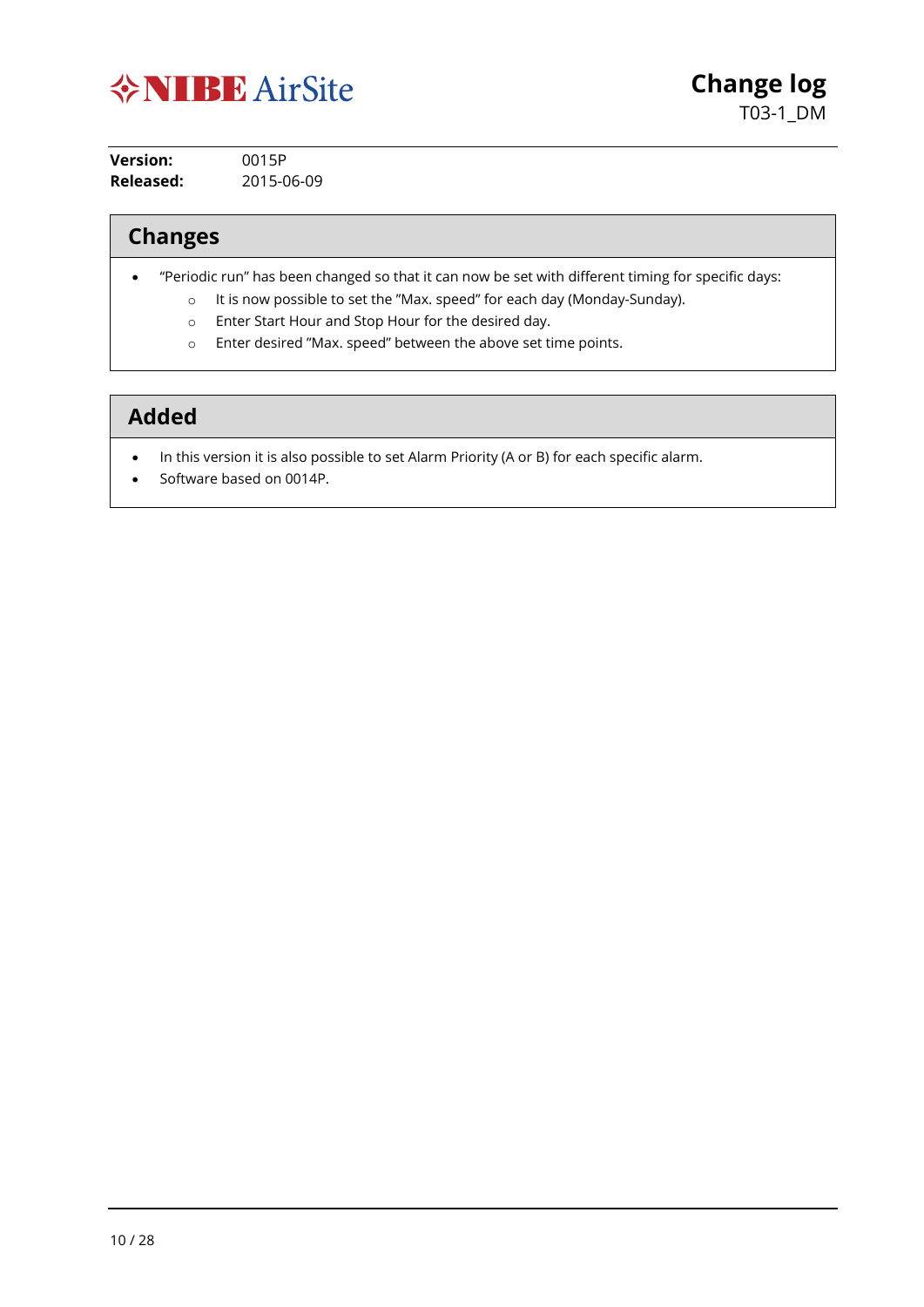

| <b>Version:</b> | 0015P      |
|-----------------|------------|
| Released:       | 2015-06-09 |

## **Changes**

- "Periodic run" has been changed so that it can now be set with different timing for specific days:
	- o It is now possible to set the "Max. speed" for each day (Monday-Sunday).
	- o Enter Start Hour and Stop Hour for the desired day.
	- o Enter desired "Max. speed" between the above set time points.

- In this version it is also possible to set Alarm Priority (A or B) for each specific alarm.
- Software based on 0014P.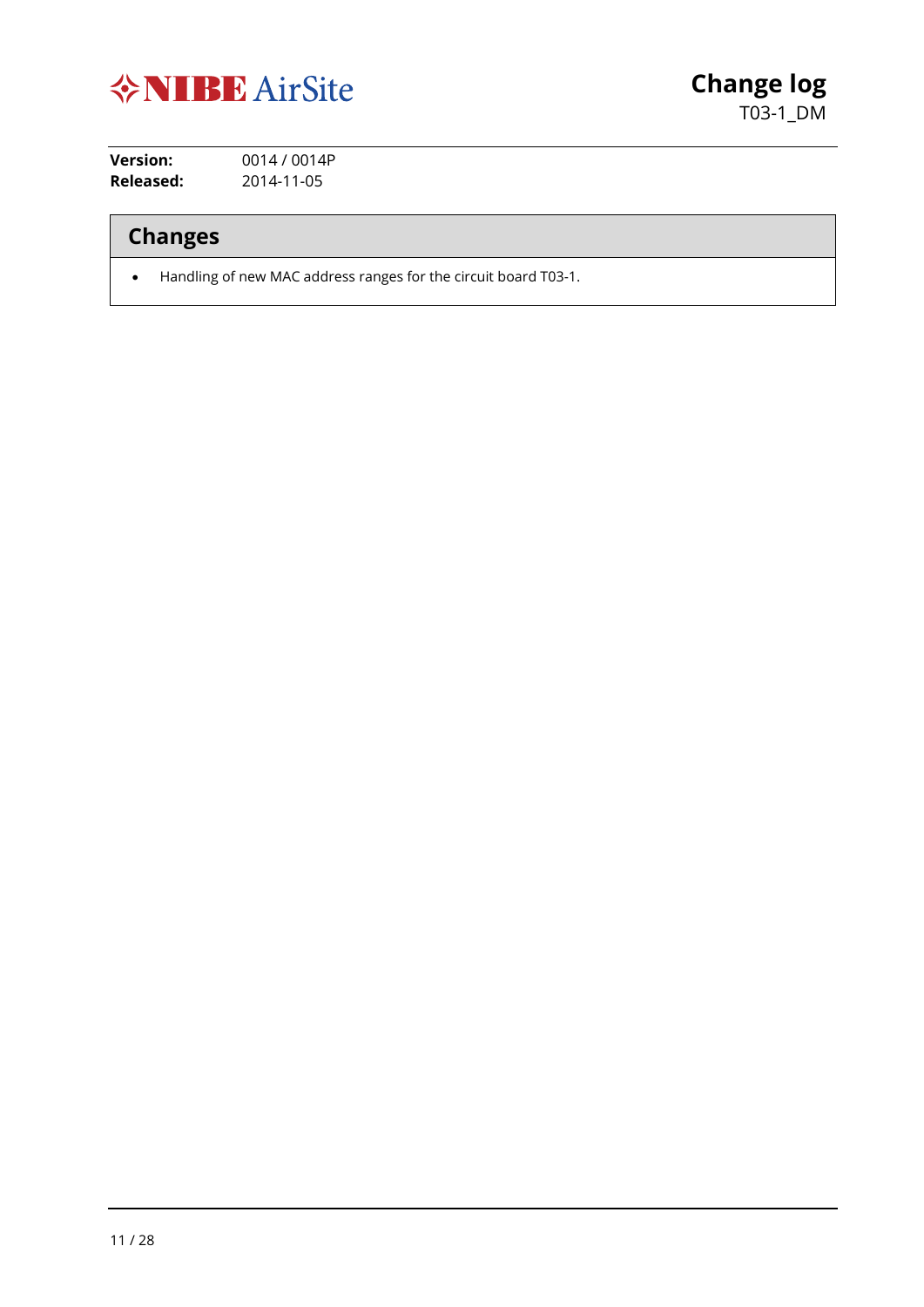

**Version:** 0014 / 0014P **Released:** 2014-11-05

**Changes**

• Handling of new MAC address ranges for the circuit board T03-1.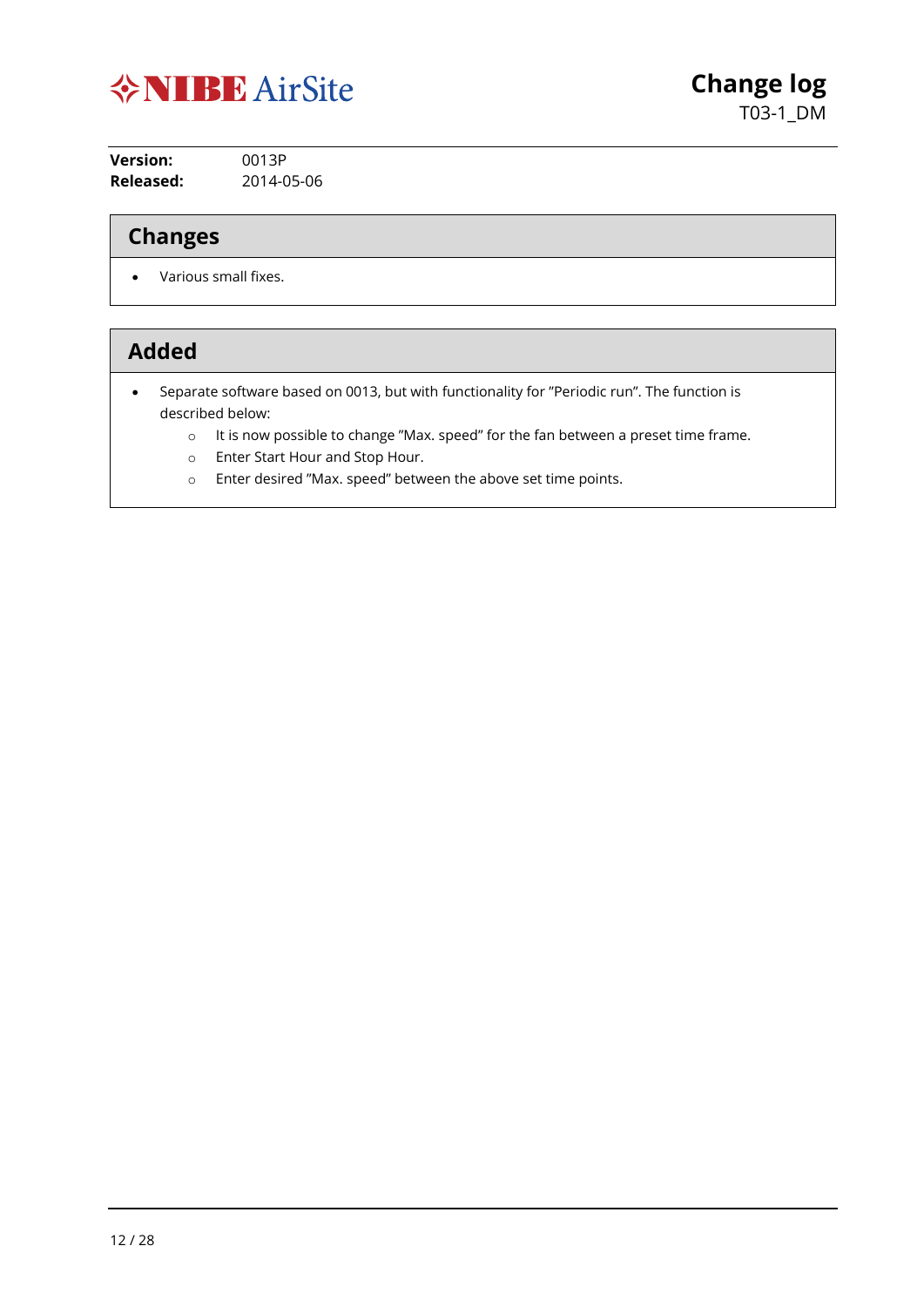

| <b>Version:</b> | 0013P      |
|-----------------|------------|
| Released:       | 2014-05-06 |

## **Changes**

• Various small fixes.

- Separate software based on 0013, but with functionality for "Periodic run". The function is described below:
	- o It is now possible to change "Max. speed" for the fan between a preset time frame.
	- o Enter Start Hour and Stop Hour.
	- o Enter desired "Max. speed" between the above set time points.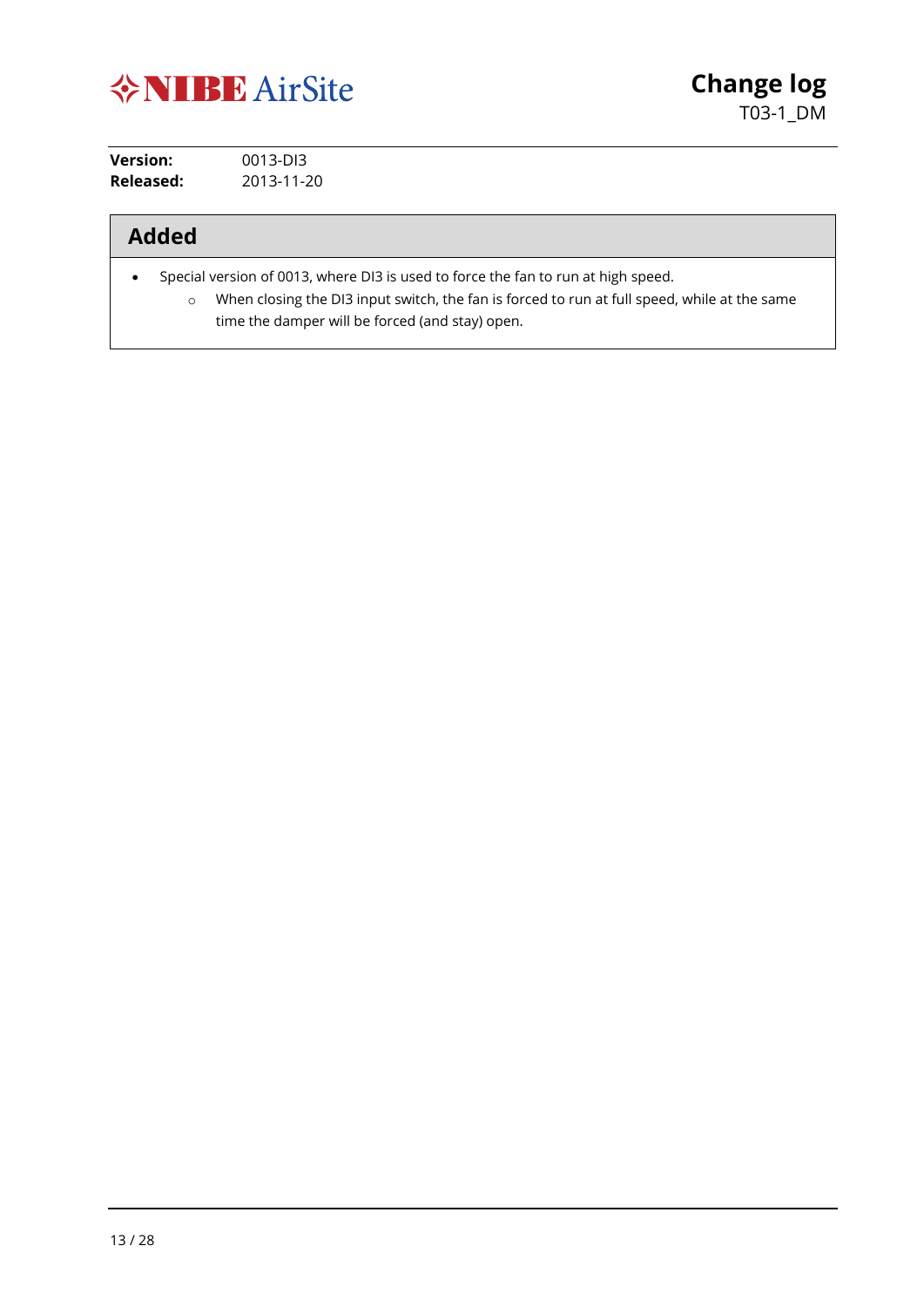

| Version:  | 0013-DI3   |
|-----------|------------|
| Released: | 2013-11-20 |

- Special version of 0013, where DI3 is used to force the fan to run at high speed.
	- o When closing the DI3 input switch, the fan is forced to run at full speed, while at the same time the damper will be forced (and stay) open.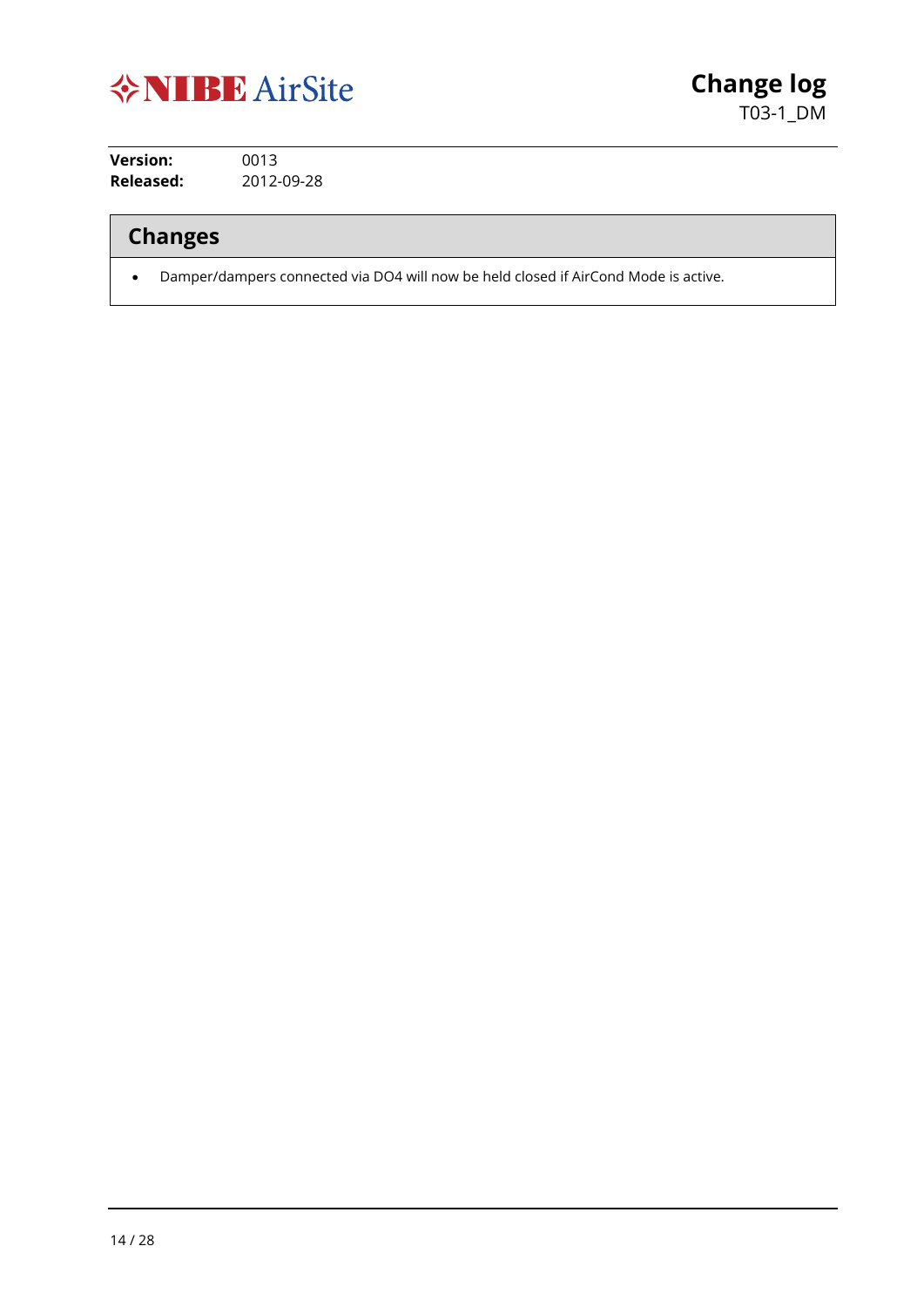

**Version:** 0013 **Released:** 2012-09-28

## **Changes**

• Damper/dampers connected via DO4 will now be held closed if AirCond Mode is active.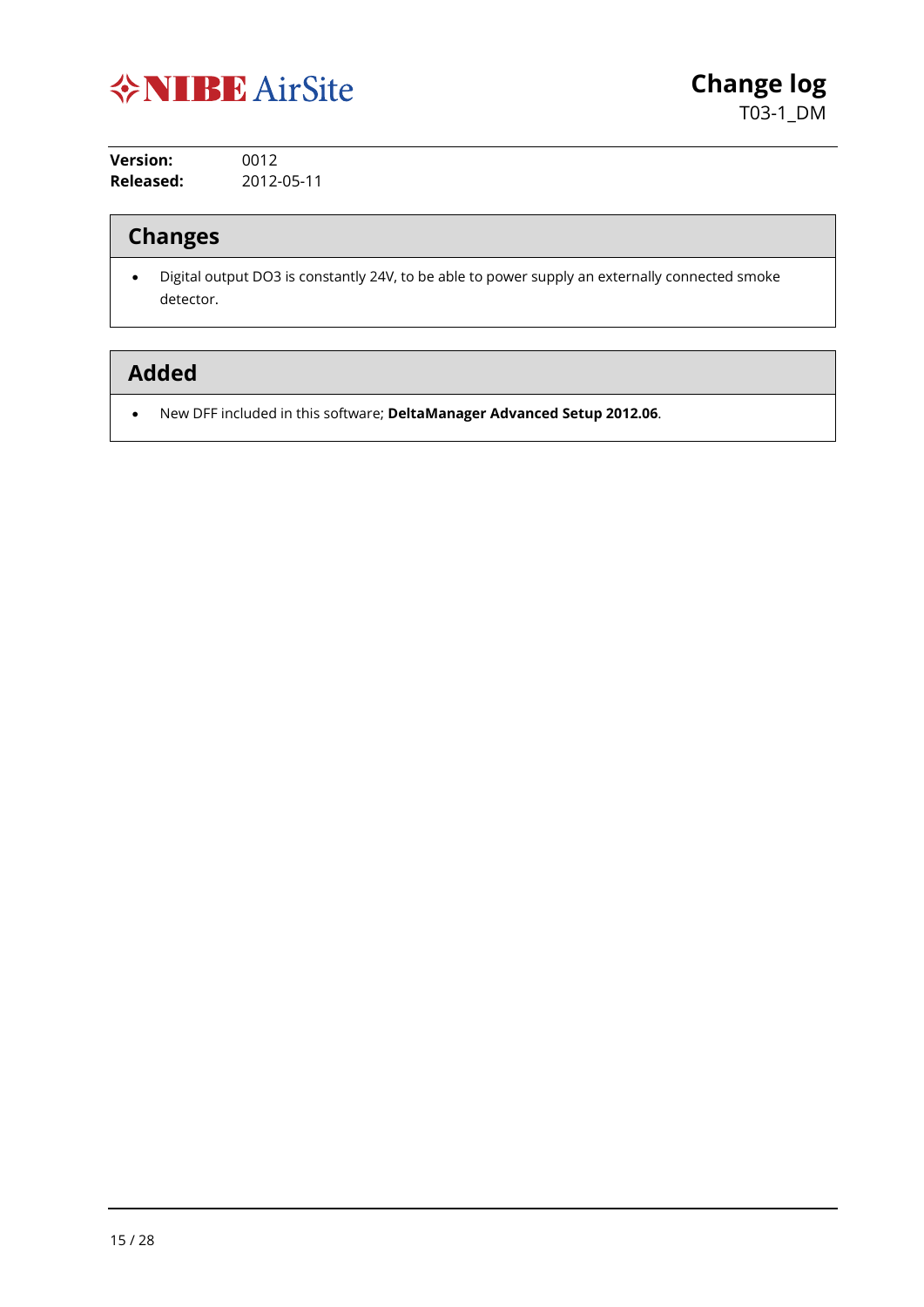

| Version:  | 0012       |
|-----------|------------|
| Released: | 2012-05-11 |

## **Changes**

• Digital output DO3 is constantly 24V, to be able to power supply an externally connected smoke detector.

## **Added**

• New DFF included in this software; **DeltaManager Advanced Setup 2012.06**.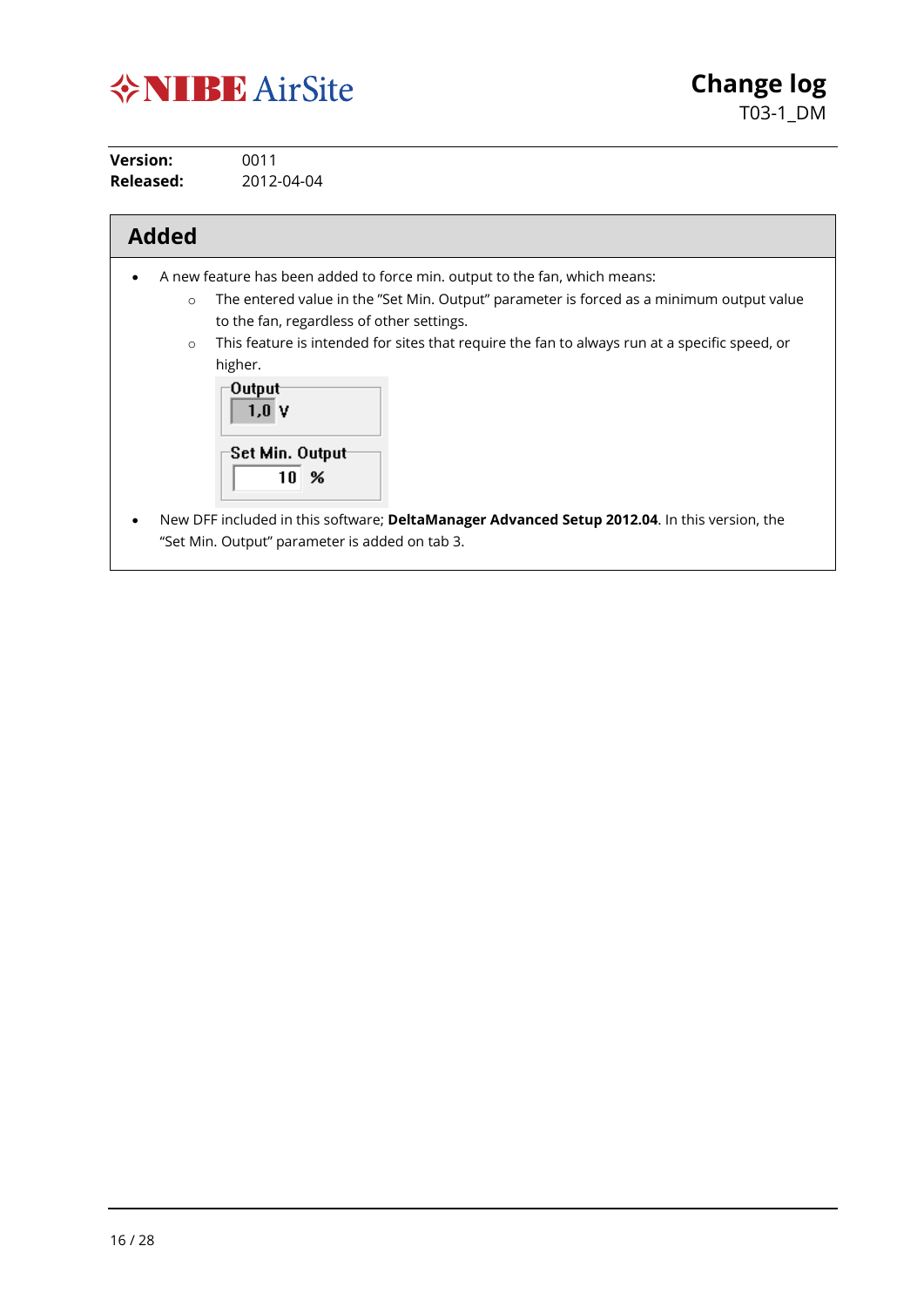

**Version:** 0011 **Released:** 2012-04-04

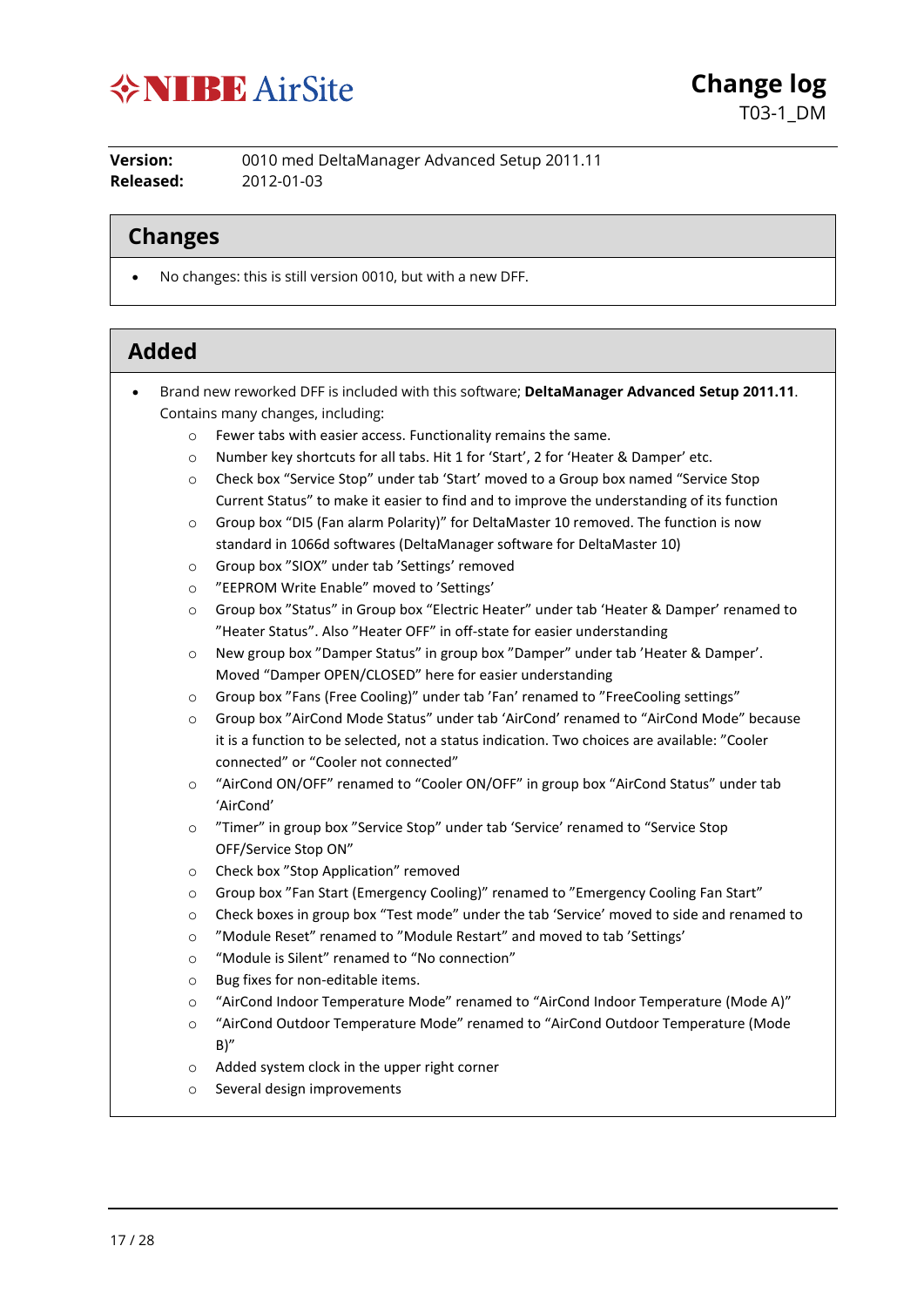

**Version:** 0010 med DeltaManager Advanced Setup 2011.11 **Released:** 2012-01-03

#### **Changes**

• No changes: this is still version 0010, but with a new DFF.

- Brand new reworked DFF is included with this software; **DeltaManager Advanced Setup 2011.11**. Contains many changes, including:
	- o Fewer tabs with easier access. Functionality remains the same.
	- o Number key shortcuts for all tabs. Hit 1 for 'Start', 2 for 'Heater & Damper' etc.
	- o Check box "Service Stop" under tab 'Start' moved to a Group box named "Service Stop Current Status" to make it easier to find and to improve the understanding of its function
	- $\circ$  Group box "DI5 (Fan alarm Polarity)" for DeltaMaster 10 removed. The function is now standard in 1066d softwares (DeltaManager software for DeltaMaster 10)
	- o Group box "SIOX" under tab 'Settings' removed
	- o "EEPROM Write Enable" moved to 'Settings'
	- o Group box "Status" in Group box "Electric Heater" under tab 'Heater & Damper' renamed to "Heater Status". Also "Heater OFF" in off-state for easier understanding
	- o New group box "Damper Status" in group box "Damper" under tab 'Heater & Damper'. Moved "Damper OPEN/CLOSED" here for easier understanding
	- o Group box "Fans (Free Cooling)" under tab 'Fan' renamed to "FreeCooling settings"
	- o Group box "AirCond Mode Status" under tab 'AirCond' renamed to "AirCond Mode" because it is a function to be selected, not a status indication. Two choices are available: "Cooler connected" or "Cooler not connected"
	- o "AirCond ON/OFF" renamed to "Cooler ON/OFF" in group box "AirCond Status" under tab 'AirCond'
	- o "Timer" in group box "Service Stop" under tab 'Service' renamed to "Service Stop OFF/Service Stop ON"
	- o Check box "Stop Application" removed
	- o Group box "Fan Start (Emergency Cooling)" renamed to "Emergency Cooling Fan Start"
	- o Check boxes in group box "Test mode" under the tab 'Service' moved to side and renamed to
	- o "Module Reset" renamed to "Module Restart" and moved to tab 'Settings'
	- o "Module is Silent" renamed to "No connection"
	- o Bug fixes for non-editable items.
	- o "AirCond Indoor Temperature Mode" renamed to "AirCond Indoor Temperature (Mode A)"
	- o "AirCond Outdoor Temperature Mode" renamed to "AirCond Outdoor Temperature (Mode  $B$ <sup>"</sup>
	- o Added system clock in the upper right corner
	- o Several design improvements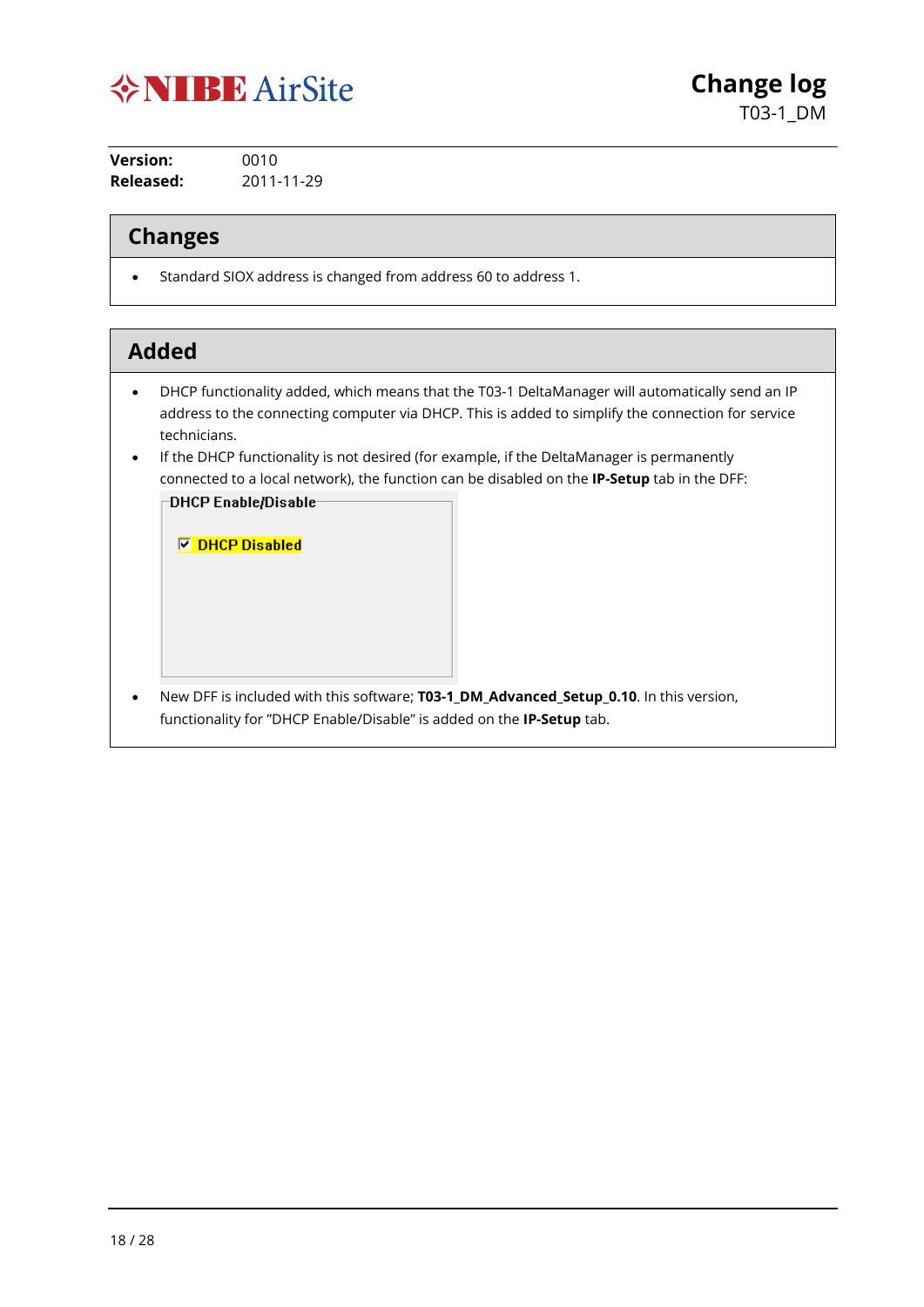

**Version:** 0010 **Released:** 2011-11-29

#### **Changes**

• Standard SIOX address is changed from address 60 to address 1.

#### **Added**

- DHCP functionality added, which means that the T03-1 DeltaManager will automatically send an IP address to the connecting computer via DHCP. This is added to simplify the connection for service technicians.
- If the DHCP functionality is not desired (for example, if the DeltaManager is permanently connected to a local network), the function can be disabled on the **IP-Setup** tab in the DFF: DHCP Enable/Disable-

**▽ DHCP Disabled** 

• New DFF is included with this software; **T03-1\_DM\_Advanced\_Setup\_0.10**. In this version, functionality for "DHCP Enable/Disable" is added on the **IP-Setup** tab.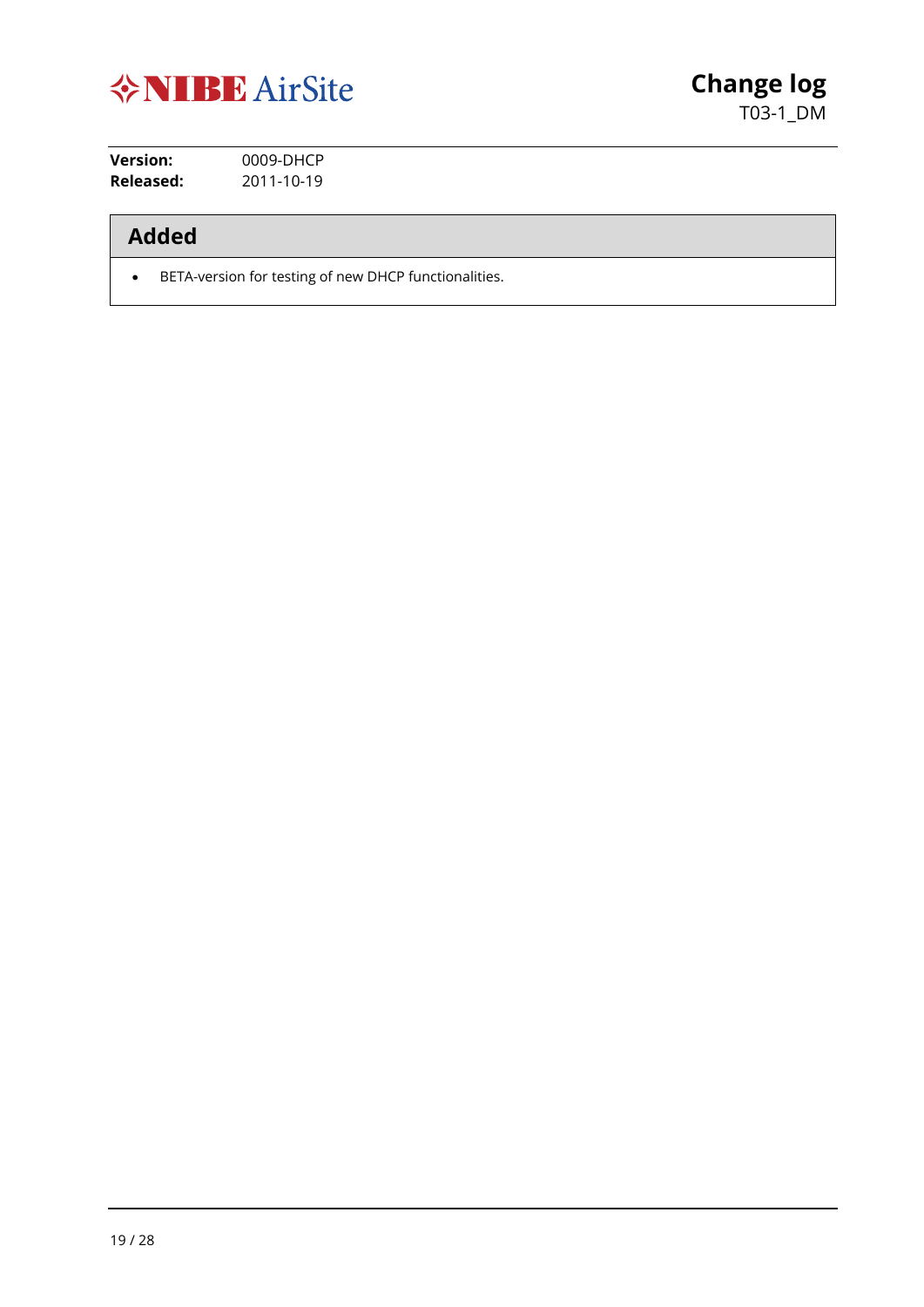

**Version:** 0009-DHCP **Released:** 2011-10-19

## **Added**

• BETA-version for testing of new DHCP functionalities.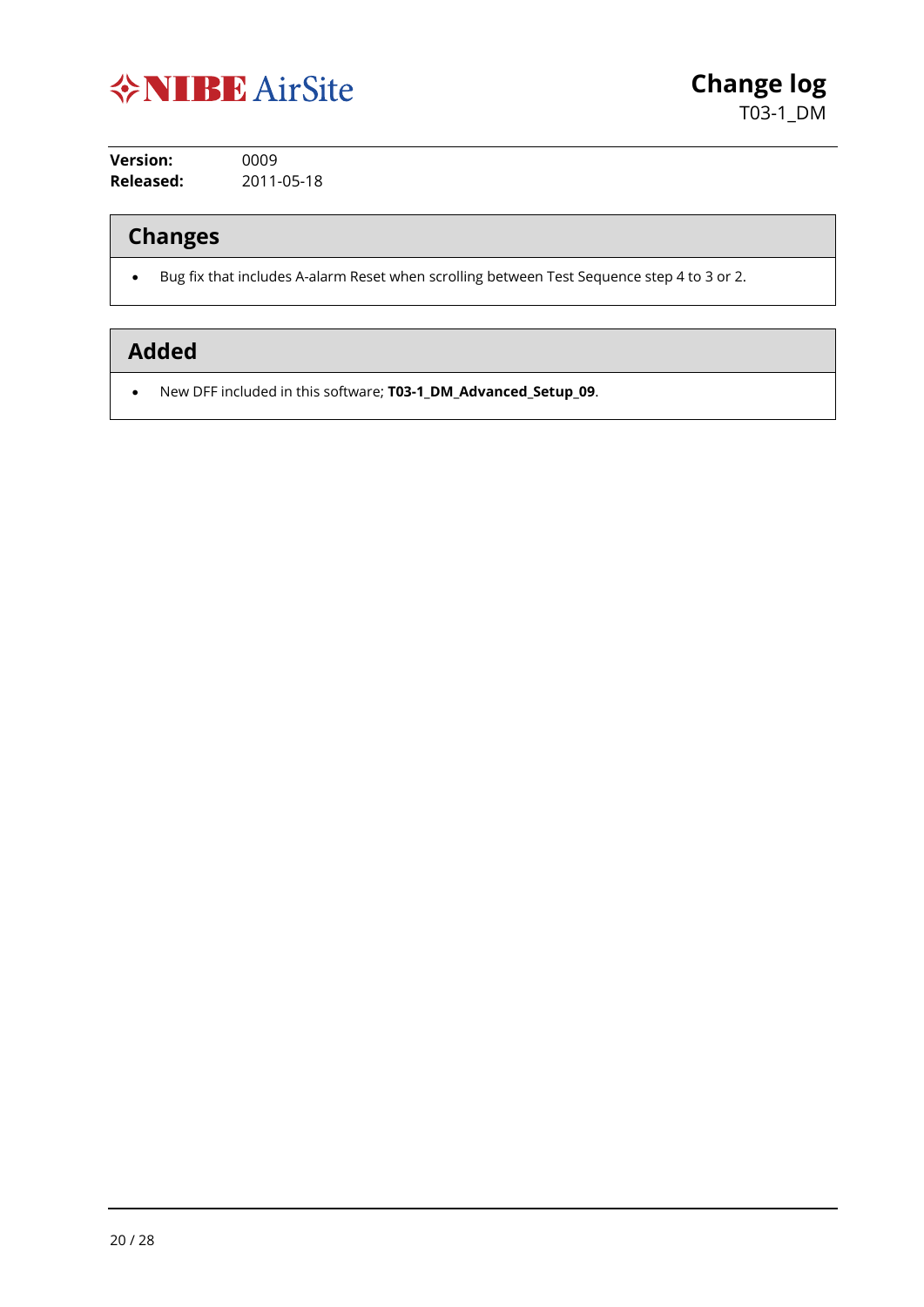

**Version:** 0009 **Released:** 2011-05-18

## **Changes**

• Bug fix that includes A-alarm Reset when scrolling between Test Sequence step 4 to 3 or 2.

## **Added**

• New DFF included in this software; **T03-1\_DM\_Advanced\_Setup\_09**.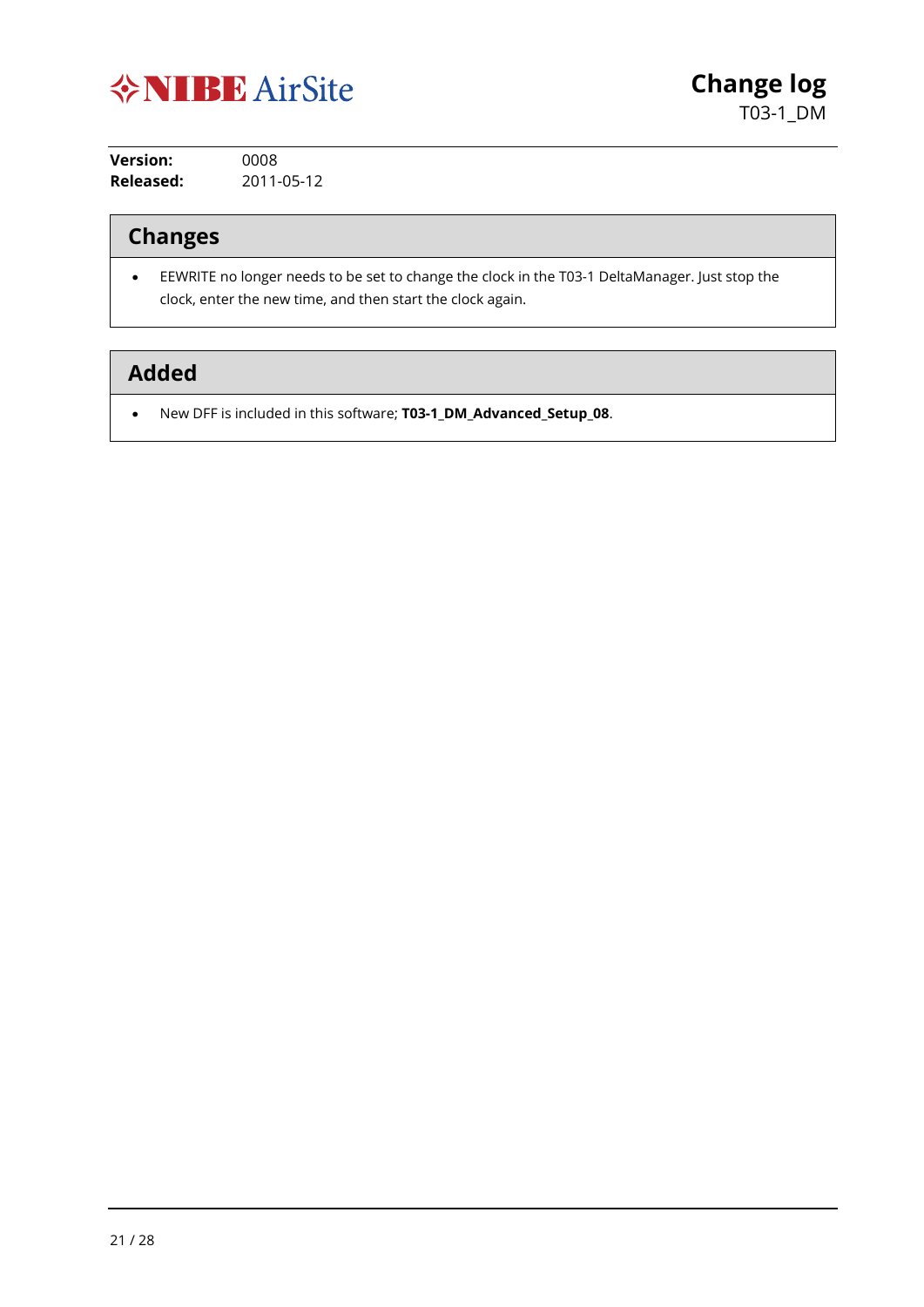

**Version:** 0008 **Released:** 2011-05-12

## **Changes**

• EEWRITE no longer needs to be set to change the clock in the T03-1 DeltaManager. Just stop the clock, enter the new time, and then start the clock again.

## **Added**

• New DFF is included in this software; **T03-1\_DM\_Advanced\_Setup\_08**.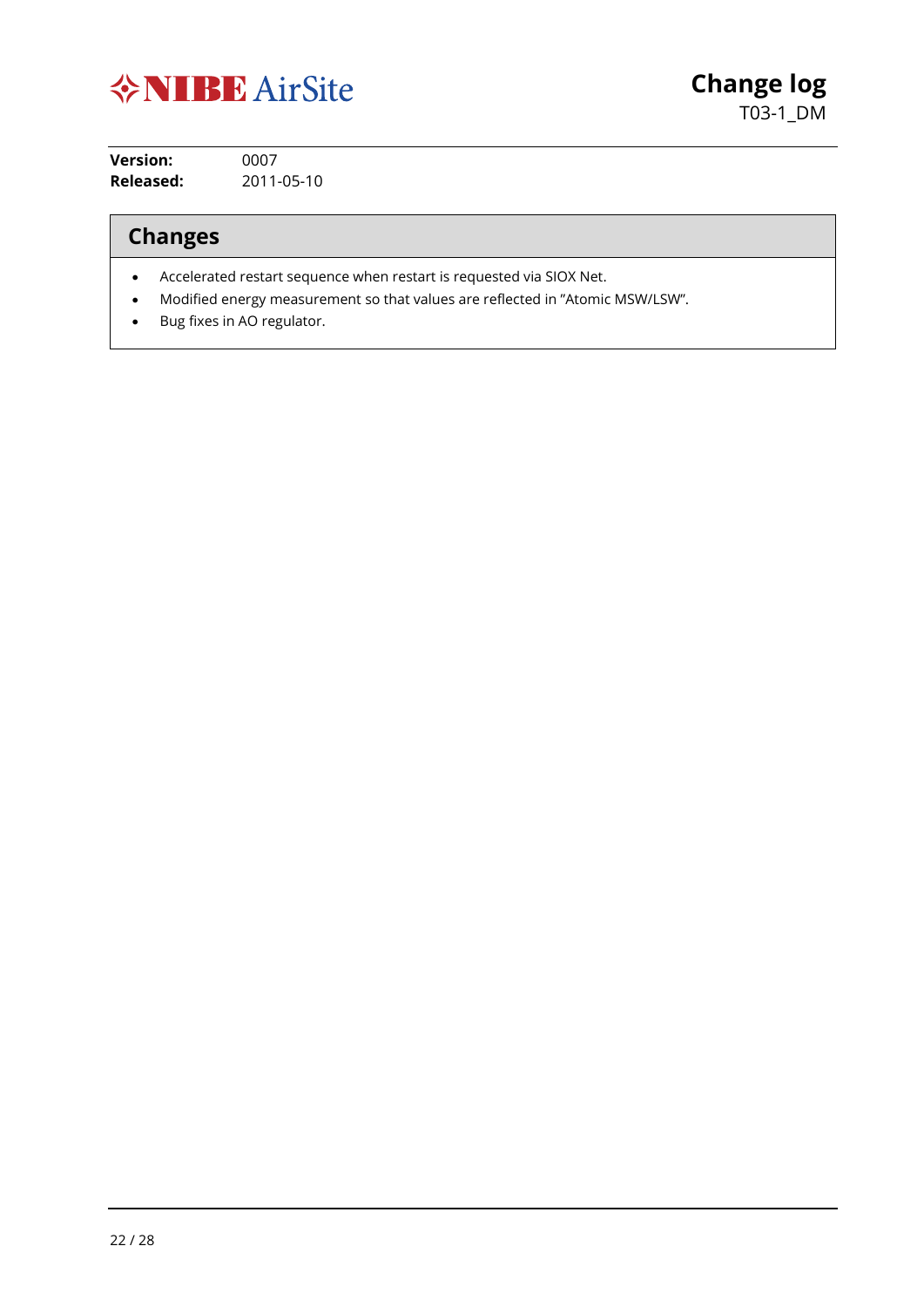

**Change log** T03-1\_DM

**Version:** 0007 **Released:** 2011-05-10

## **Changes**

- Accelerated restart sequence when restart is requested via SIOX Net.
- Modified energy measurement so that values are reflected in "Atomic MSW/LSW".
- Bug fixes in AO regulator.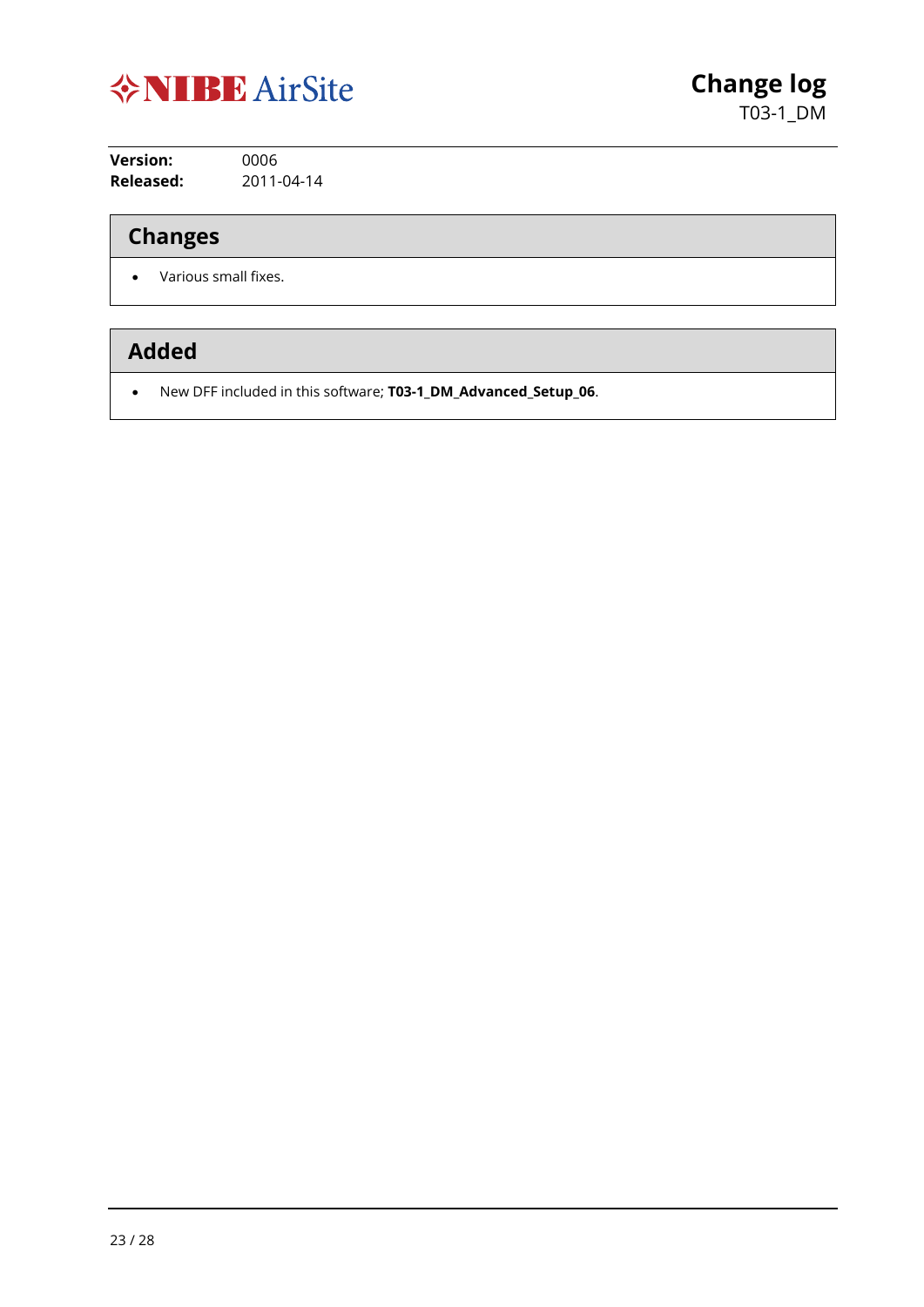

**Version:** 0006 **Released:** 2011-04-14

## **Changes**

• Various small fixes.

## **Added**

• New DFF included in this software; **T03-1\_DM\_Advanced\_Setup\_06**.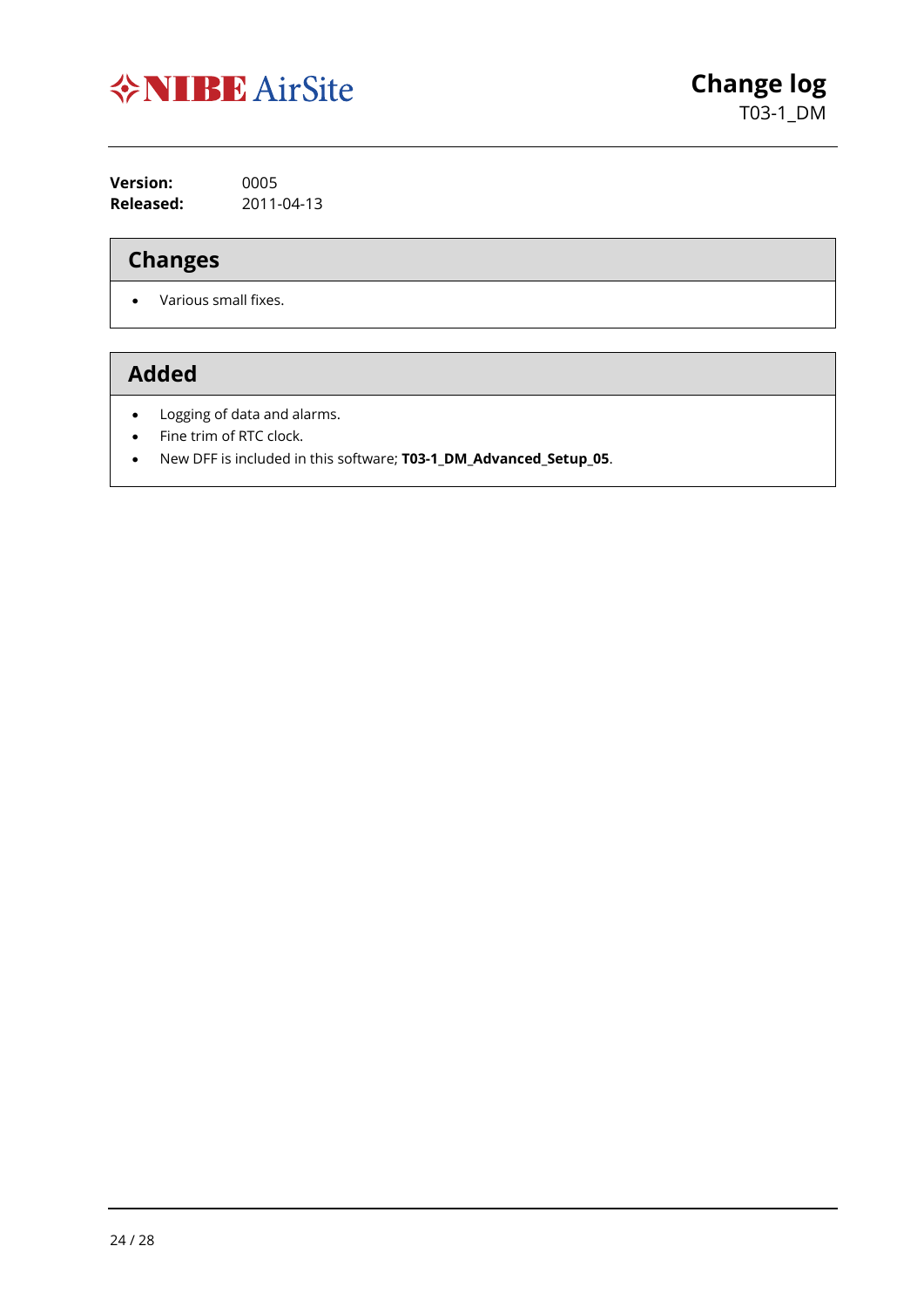

**Version:** 0005 **Released:** 2011-04-13

## **Changes**

• Various small fixes.

- Logging of data and alarms.
- Fine trim of RTC clock.
- New DFF is included in this software; **T03-1\_DM\_Advanced\_Setup\_05**.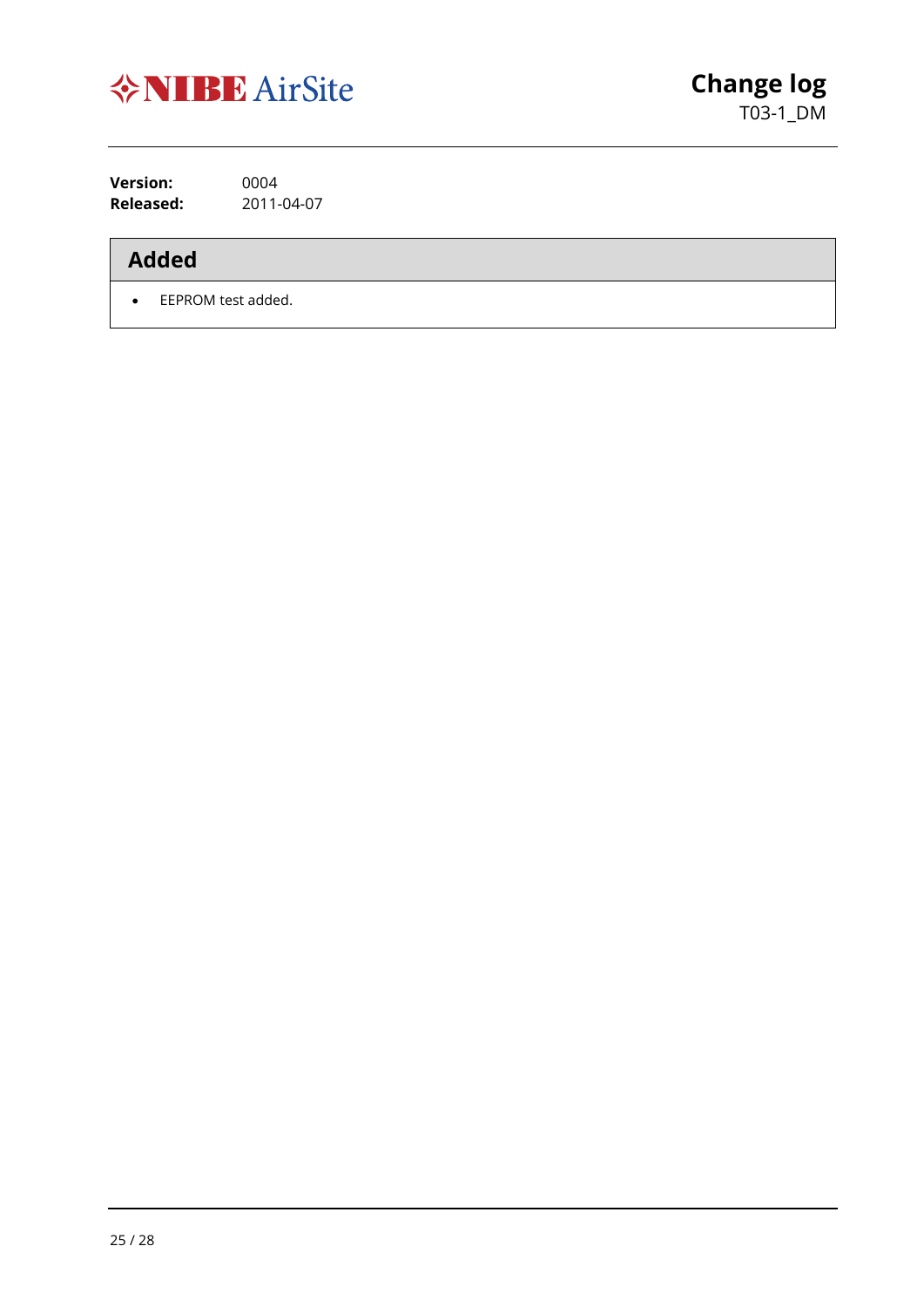

**Version:** 0004<br>**Released:** 2011-**Released:** 2011-04-07

## **Added**

• EEPROM test added.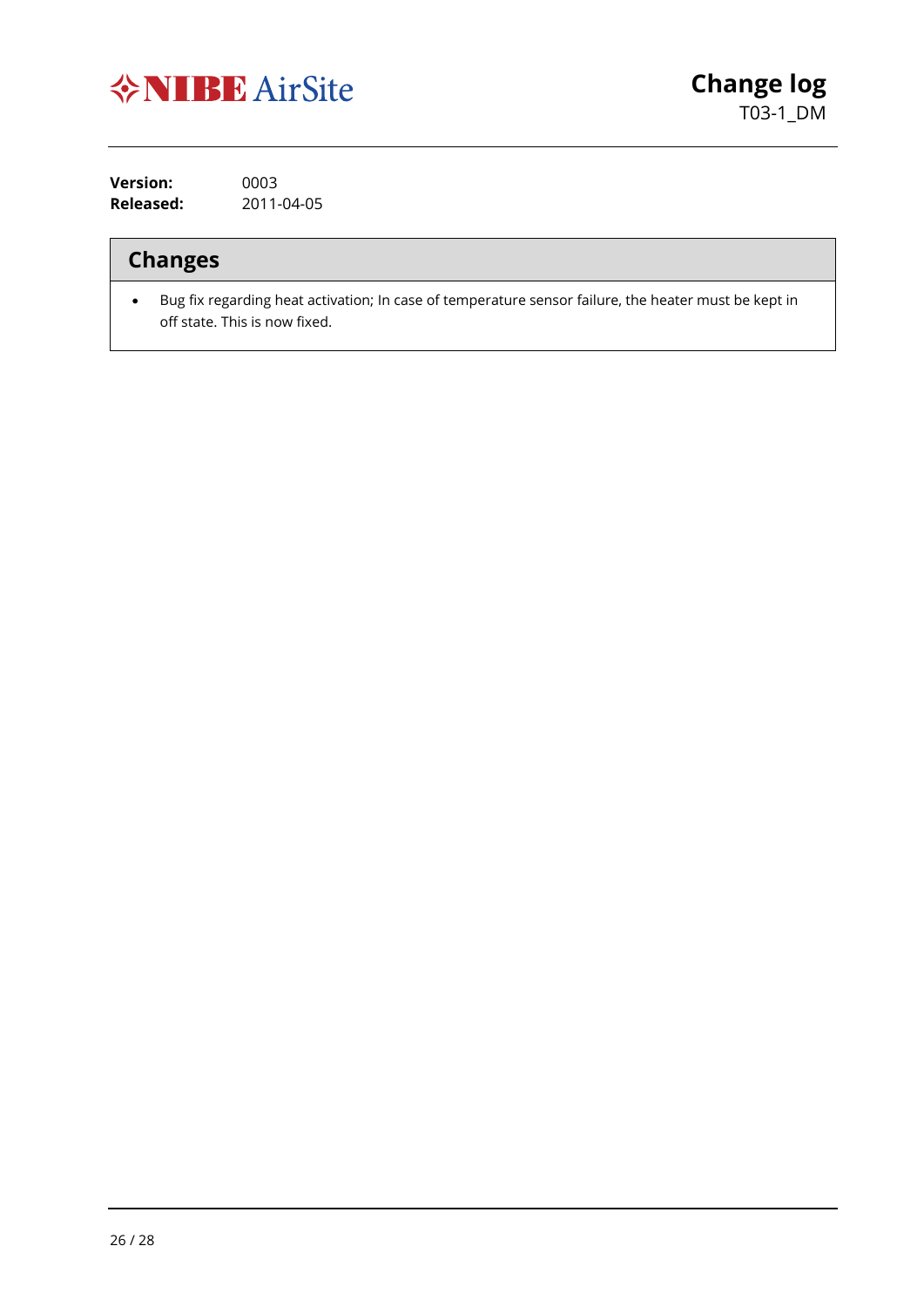

**Version:** 0003 **Released:** 2011-04-05

#### **Changes**

• Bug fix regarding heat activation; In case of temperature sensor failure, the heater must be kept in off state. This is now fixed.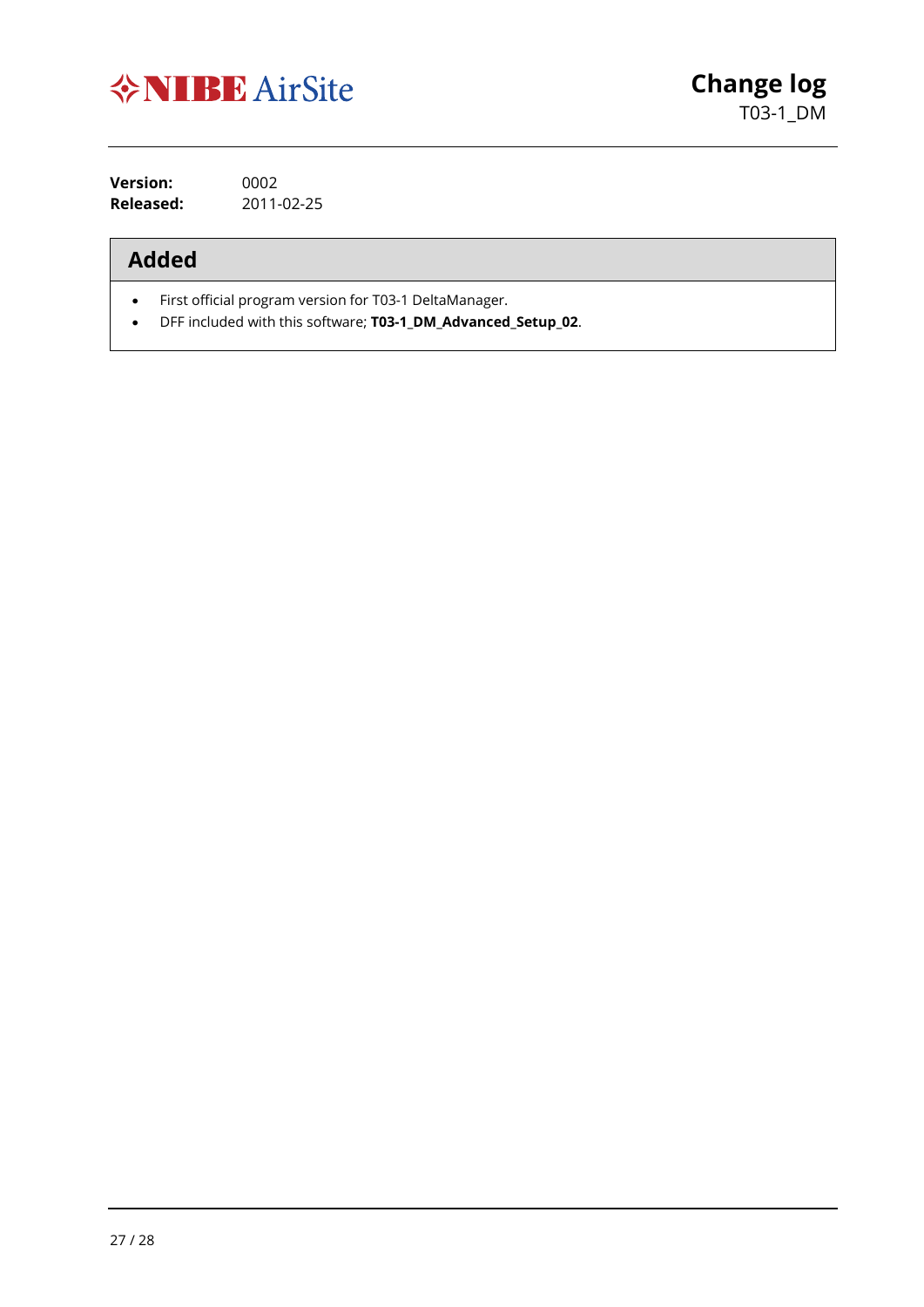

**Version:** 0002 **Released:** 2011-02-25

- First official program version for T03-1 DeltaManager.
- DFF included with this software; **T03-1\_DM\_Advanced\_Setup\_02**.